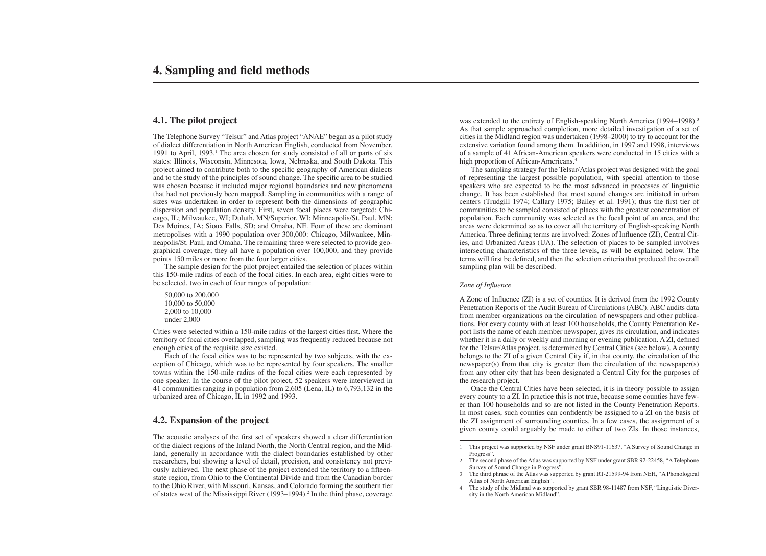# **4.1. The pilot project**

The Telephone Survey "Telsur" and Atlas project "ANAE" began as a pilot study of dialect differentiation in North American English, conducted from November, 1991 to April, 1993.<sup>1</sup> The area chosen for study consisted of all or parts of six states: Illinois, Wisconsin, Minnesota, Iowa, Nebraska, and South Dakota. This project aimed to contribute both to the specific geography of American dialects and to the study of the principles of sound change. The specific area to be studied was chosen because it included major regional boundaries and new phenomena that had not previously been mapped. Sampling in communities with a range of sizes was undertaken in order to represent both the dimensions of geographic dispersion and population density. First, seven focal places were targeted: Chicago, IL; Milwaukee, WI; Duluth, MN/Superior, WI; Minneapolis/St. Paul, MN; Des Moines, IA; Sioux Falls, SD; and Omaha, NE. Four of these are dominant metropolises with a 1990 population over 300,000: Chicago, Milwaukee, Minneapolis/St. Paul, and Omaha. The remaining three were selected to provide geographical coverage; they all have a population over 100,000, and they provide points 150 miles or more from the four larger cities.

The acoustic analyses of the first set of speakers showed a clear differentiation of the dialect regions of the Inland North, the North Central region, and the Midland, generally in accordance with the dialect boundaries established by other researchers, but showing a level of detail, precision, and consistency not previously achieved. The next phase of the project extended the territory to a fifteenstate region, from Ohio to the Continental Divide and from the Canadian border to the Ohio River, with Missouri, Kansas, and Colorado forming the southern tier of states west of the Mississippi River (1993–1994).<sup>2</sup> In the third phase, coverage was extended to the entirety of English-speaking North America (1994–1998).<sup>3</sup> As that sample approached completion, more detailed investigation of a set of cities in the Midland region was undertaken (1998–2000) to try to account for the extensive variation found among them. In addition, in 1997 and 1998, interviews of a sample of 41 African-American speakers were conducted in 15 cities with a high proportion of African-Americans.<sup>4</sup>

The sample design for the pilot project entailed the selection of places within this 150-mile radius of each of the focal cities. In each area, eight cities were to be selected, two in each of four ranges of population:

50,000 to 200,000 10,000 to 50,000 2,000 to 10,000 under 2,000

Cities were selected within a 150-mile radius of the largest cities first. Where the territory of focal cities overlapped, sampling was frequently reduced because not enough cities of the requisite size existed.

Each of the focal cities was to be represented by two subjects, with the exception of Chicago, which was to be represented by four speakers. The smaller towns within the 150-mile radius of the focal cities were each represented by one speaker. In the course of the pilot project, 52 speakers were interviewed in 41 communities ranging in population from 2,605 (Lena, IL) to 6,793,132 in the urbanized area of Chicago, IL in 1992 and 1993.

# **4.2. Expansion of the project**

The sampling strategy for the Telsur/Atlas project was designed with the goal of representing the largest possible population, with special attention to those speakers who are expected to be the most advanced in processes of linguistic change. It has been established that most sound changes are initiated in urban centers (Trudgill 1974; Callary 1975; Bailey et al. 1991); thus the first tier of communities to be sampled consisted of places with the greatest concentration of population. Each community was selected as the focal point of an area, and the areas were determined so as to cover all the territory of English-speaking North America. Three defining terms are involved: Zones of Influence (ZI), Central Cities, and Urbanized Areas (UA). The selection of places to be sampled involves intersecting characteristics of the three levels, as will be explained below. The terms will first be defined, and then the selection criteria that produced the overall sampling plan will be described.

## *Zone of Influence*

A Zone of Influence (ZI) is a set of counties. It is derived from the 1992 County Penetration Reports of the Audit Bureau of Circulations (ABC). ABC audits data from member organizations on the circulation of newspapers and other publications. For every county with at least 100 households, the County Penetration Report lists the name of each member newspaper, gives its circulation, and indicates whether it is a daily or weekly and morning or evening publication. A ZI, defined for the Telsur/Atlas project, is determined by Central Cities (see below). A county belongs to the ZI of a given Central City if, in that county, the circulation of the newspaper(s) from that city is greater than the circulation of the newspaper(s) from any other city that has been designated a Central City for the purposes of the research project.

Once the Central Cities have been selected, it is in theory possible to assign every county to a ZI. In practice this is not true, because some counties have fewer than 100 households and so are not listed in the County Penetration Reports. In most cases, such counties can confidently be assigned to a ZI on the basis of the ZI assignment of surrounding counties. In a few cases, the assignment of a given county could arguably be made to either of two ZIs. In those instances,

<sup>1</sup> This project was supported by NSF under grant BNS91-11637, "A Survey of Sound Change in Progress".

<sup>2</sup> The second phase of the Atlas was supported by NSF under grant SBR 92-22458, "A Telephone Survey of Sound Change in Progress".

<sup>3</sup> The third phrase of the Atlas was supported by grant RT-21599-94 from NEH, "A Phonological Atlas of North American English".

<sup>4</sup> The study of the Midland was supported by grant SBR 98-11487 from NSF, "Linguistic Diversity in the North American Midland".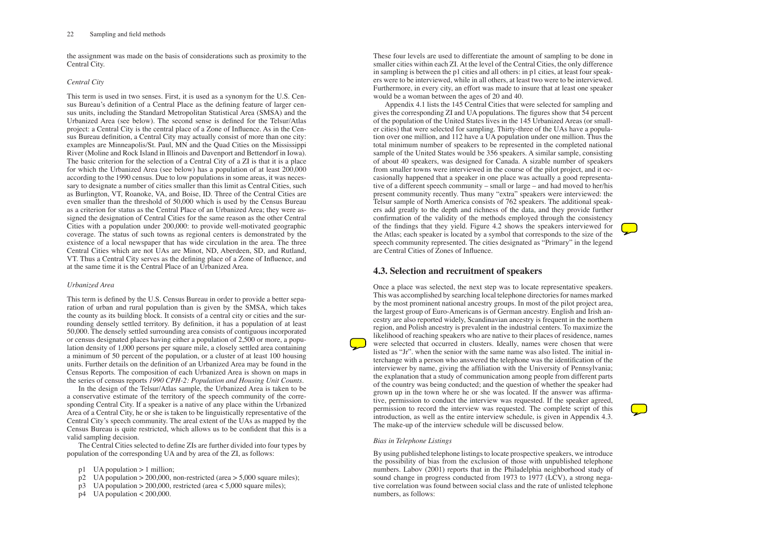## 22 Sampling and field methods

the assignment was made on the basis of considerations such as proximity to the Central City.

# *Central City*

This term is used in two senses. First, it is used as a synonym for the U.S. Census Bureau's definition of a Central Place as the defining feature of larger census units, including the Standard Metropolitan Statistical Area (SMSA) and the Urbanized Area (see below). The second sense is defined for the Telsur/Atlas project: a Central City is the central place of a Zone of Influence. As in the Census Bureau definition, a Central City may actually consist of more than one city: examples are Minneapolis/St. Paul, MN and the Quad Cities on the Mississippi River (Moline and Rock Island in Illinois and Davenport and Bettendorf in Iowa). The basic criterion for the selection of a Central City of a ZI is that it is a place for which the Urbanized Area (see below) has a population of at least 200,000 according to the 1990 census. Due to low populations in some areas, it was necessary to designate a number of cities smaller than this limit as Central Cities, such as Burlington, VT, Roanoke, VA, and Boise, ID. Three of the Central Cities are even smaller than the threshold of 50,000 which is used by the Census Bureau as a criterion for status as the Central Place of an Urbanized Area; they were assigned the designation of Central Cities for the same reason as the other Central Cities with a population under 200,000: to provide well-motivated geographic coverage. The status of such towns as regional centers is demonstrated by the existence of a local newspaper that has wide circulation in the area. The three Central Cities which are not UAs are Minot, ND, Aberdeen, SD, and Rutland, VT. Thus a Central City serves as the defining place of a Zone of Influence, and at the same time it is the Central Place of an Urbanized Area.

# *Urbanized Area*

This term is defined by the U.S. Census Bureau in order to provide a better separation of urban and rural population than is given by the SMSA, which takes the county as its building block. It consists of a central city or cities and the surrounding densely settled territory. By definition, it has a population of at least 50,000. The densely settled surrounding area consists of contiguous incorporated or census designated places having either a population of 2,500 or more, a population density of 1,000 persons per square mile, a closely settled area containing a minimum of 50 percent of the population, or a cluster of at least 100 housing units. Further details on the definition of an Urbanized Area may be found in the Census Reports. The composition of each Urbanized Area is shown on maps in the series of census reports *1990 CPH-2: Population and Housing Unit Counts*.

In the design of the Telsur/Atlas sample, the Urbanized Area is taken to be a conservative estimate of the territory of the speech community of the corresponding Central City. If a speaker is a native of any place within the Urbanized Area of a Central City, he or she is taken to be linguistically representative of the Central City's speech community. The areal extent of the UAs as mapped by the Census Bureau is quite restricted, which allows us to be confident that this is a valid sampling decision.

The Central Cities selected to define ZIs are further divided into four types by population of the corresponding UA and by area of the ZI, as follows:

- p1 UA population  $> 1$  million;
- $p2$  UA population  $> 200,000$ , non-restricted (area  $> 5,000$  square miles);
- $p3$  UA population > 200,000, restricted (area < 5,000 square miles);
- $p4$  UA population < 200,000.

These four levels are used to differentiate the amount of sampling to be done in smaller cities within each ZI. At the level of the Central Cities, the only difference in sampling is between the p1 cities and all others: in p1 cities, at least four speakers were to be interviewed, while in all others, at least two were to be interviewed. Furthermore, in every city, an effort was made to insure that at least one speaker would be a woman between the ages of 20 and 40.

Appendix 4.1 lists the 145 Central Cities that were selected for sampling and gives the corresponding ZI and UA populations. The figures show that 54 percent of the population of the United States lives in the 145 Urbanized Areas (or smaller cities) that were selected for sampling. Thirty-three of the UAs have a population over one million, and 112 have a UA population under one million. Thus the total minimum number of speakers to be represented in the completed national sample of the United States would be 356 speakers. A similar sample, consisting of about 40 speakers, was designed for Canada. A sizable number of speakers from smaller towns were interviewed in the course of the pilot project, and it occasionally happened that a speaker in one place was actually a good representative of a different speech community – small or large – and had moved to her/his present community recently. Thus many "extra" speakers were interviewed: the Telsur sample of North America consists of 762 speakers. The additional speakers add greatly to the depth and richness of the data, and they provide further confirmation of the validity of the methods employed through the consistency of the findings that they yield. Figure 4.2 shows the speakers interviewed for the Atlas; each speaker is located by a symbol that corresponds to the size of the speech community represented. The cities designated as "Primary" in the legend are Central Cities of Zones of Influence.

# **4.3. Selection and recruitment of speakers**

Once a place was selected, the next step was to locate representative speakers. This was accomplished by searching local telephone directories for names marked by the most prominent national ancestry groups. In most of the pilot project area, the largest group of Euro-Americans is of German ancestry. English and Irish ancestry are also reported widely, Scandinavian ancestry is frequent in the northern region, and Polish ancestry is prevalent in the industrial centers. To maximize the likelihood of reaching speakers who are native to their places of residence, names were selected that occurred in clusters. Ideally, names were chosen that were listed as "Jr". when the senior with the same name was also listed. The initial interchange with a person who answered the telephone was the identification of the interviewer by name, giving the affiliation with the University of Pennsylvania; the explanation that a study of communication among people from different parts of the country was being conducted; and the question of whether the speaker had grown up in the town where he or she was located. If the answer was affirmative, permission to conduct the interview was requested. If the speaker agreed, permission to record the interview was requested. The complete script of this introduction, as well as the entire interview schedule, is given in Appendix 4.3. The make-up of the interview schedule will be discussed below.

# *Bias in Telephone Listings*

By using published telephone listings to locate prospective speakers, we introduce the possibility of bias from the exclusion of those with unpublished telephone numbers. Labov (2001) reports that in the Philadelphia neighborhood study of sound change in progress conducted from 1973 to 1977 (LCV), a strong negative correlation was found between social class and the rate of unlisted telephone numbers, as follows:

- 
- 
- 
- 
- 
- 
- 
- 
- 
- 
- 
- 
- 
- 
- 
- 
- 
- 
- 
- 
- 
- 
- 
- 
- 
- 
- 
- 
- 
- 
- 
- 
-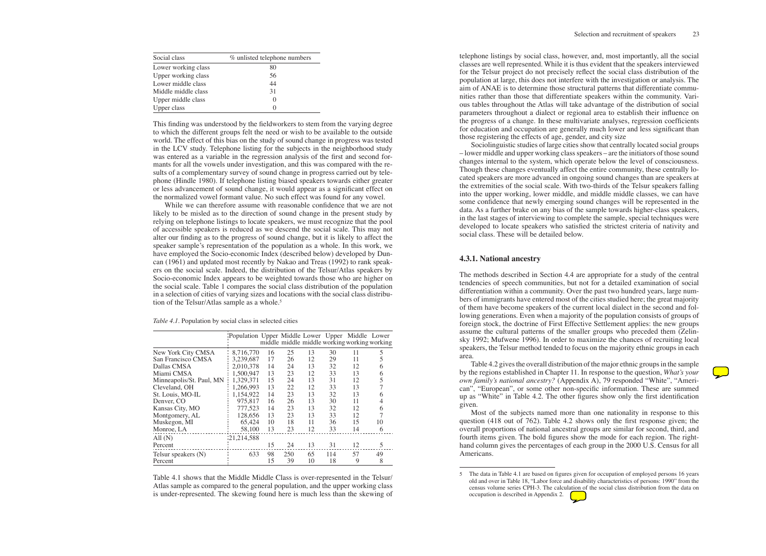| Social class        | % unlisted telephone numbers |
|---------------------|------------------------------|
| Lower working class | 80                           |
| Upper working class | 56                           |
| Lower middle class  | 44                           |
| Middle middle class | 31                           |
| Upper middle class  |                              |
| Upper class         |                              |

While we can therefore assume with reasonable confidence that we are not likely to be misled as to the direction of sound change in the present study by relying on telephone listings to locate speakers, we must recognize that the pool of accessible speakers is reduced as we descend the social scale. This may not alter our finding as to the progress of sound change, but it is likely to affect the speaker sample's representation of the population as a whole. In this work, we have employed the Socio-economic Index (described below) developed by Duncan (1961) and updated most recently by Nakao and Treas (1992) to rank speakers on the social scale. Indeed, the distribution of the Telsur/Atlas speakers by Socio-economic Index appears to be weighted towards those who are higher on the social scale. Table 1 compares the social class distribution of the population in a selection of cities of varying sizes and locations with the social class distribution of the Telsur/Atlas sample as a whole.<sup>5</sup>

This finding was understood by the fieldworkers to stem from the varying degree to which the different groups felt the need or wish to be available to the outside world. The effect of this bias on the study of sound change in progress was tested in the LCV study. Telephone listing for the subjects in the neighborhood study was entered as a variable in the regression analysis of the first and second formants for all the vowels under investigation, and this was compared with the results of a complementary survey of sound change in progress carried out by telephone (Hindle 1980). If telephone listing biased speakers towards either greater or less advancement of sound change, it would appear as a significant effect on the normalized vowel formant value. No such effect was found for any vowel.

|                          | Population Upper Middle Lower Upper Middle Lower |    |     |    |     |                                              |    |
|--------------------------|--------------------------------------------------|----|-----|----|-----|----------------------------------------------|----|
|                          |                                                  |    |     |    |     | middle middle middle working working working |    |
| New York City CMSA       | 8,716,770                                        | 16 | 25  | 13 | 30  | 11                                           | 5  |
| San Francisco CMSA       | 3,239,687                                        | 17 | 26  | 12 | 29  | 11                                           | 5  |
| Dallas CMSA              | 2,010,378                                        | 14 | 24  | 13 | 32  | 12                                           | 6  |
| Miami CMSA               | 1,500,947                                        | 13 | 23  | 12 | 33  | 13                                           | 6  |
| Minneapolis/St. Paul, MN | 1,329,371                                        | 15 | 24  | 13 | 31  | 12                                           |    |
| Cleveland, OH            | 1,266,993                                        | 13 | 22  | 12 | 33  | 13                                           |    |
| St. Louis, MO-IL         | 1,154,922                                        | 14 | 23  | 13 | 32  | 13                                           | 6  |
| Denver, CO               | 975,817                                          | 16 | 26  | 13 | 30  | 11                                           |    |
| Kansas City, MO          | 777,523                                          | 14 | 23  | 13 | 32  | 12                                           | 6  |
| Montgomery, AL           | 128,656                                          | 13 | 23  | 13 | 33  | 12                                           |    |
| Muskegon, MI             | 65,424                                           | 10 | 18  | 11 | 36  | 15                                           | 10 |
| Monroe, LA               | 58,100                                           | 13 | 23  | 12 | 33  | 14                                           | 6  |
| All (N)                  | 121,214,588                                      |    |     |    |     |                                              |    |
| Percent                  |                                                  | 15 | 24  | 13 | 31  | 12                                           | 5  |
| Telsur speakers (N)      | 633                                              | 98 | 250 | 65 | 114 | 57                                           | 49 |
| Percent                  |                                                  | 15 | 39  | 10 | 18  | 9                                            | 8  |
|                          |                                                  |    |     |    |     |                                              |    |

Table 4.1 shows that the Middle Middle Class is over-represented in the Telsur/ Atlas sample as compared to the general population, and the upper working class is under-represented. The skewing found here is much less than the skewing of telephone listings by social class, however, and, most importantly, all the social classes are well represented. While it is thus evident that the speakers interviewed for the Telsur project do not precisely reflect the social class distribution of the population at large, this does not interfere with the investigation or analysis. The aim of ANAE is to determine those structural patterns that differentiate communities rather than those that differentiate speakers within the community. Various tables throughout the Atlas will take advantage of the distribution of social parameters throughout a dialect or regional area to establish their influence on the progress of a change. In these multivariate analyses, regression coefficients for education and occupation are generally much lower and less significant than those registering the effects of age, gender, and city size

Sociolinguistic studies of large cities show that centrally located social groups – lower middle and upper working class speakers – are the initiators of those sound changes internal to the system, which operate below the level of consciousness. Though these changes eventually affect the entire community, these centrally located speakers are more advanced in ongoing sound changes than are speakers at the extremities of the social scale. With two-thirds of the Telsur speakers falling into the upper working, lower middle, and middle middle classes, we can have some confidence that newly emerging sound changes will be represented in the data. As a further brake on any bias of the sample towards higher-class speakers, in the last stages of interviewing to complete the sample, special techniques were developed to locate speakers who satisfied the strictest criteria of nativity and social class. These will be detailed below.

## **4.3.1. National ancestry**

The methods described in Section 4.4 are appropriate for a study of the central tendencies of speech communities, but not for a detailed examination of social differentiation within a community. Over the past two hundred years, large numbers of immigrants have entered most of the cities studied here; the great majority of them have become speakers of the current local dialect in the second and following generations. Even when a majority of the population consists of groups of foreign stock, the doctrine of First Effective Settlement applies: the new groups assume the cultural patterns of the smaller groups who preceded them (Zelinsky 1992; Mufwene 1996). In order to maximize the chances of recruiting local speakers, the Telsur method tended to focus on the majority ethnic groups in each area.

Table 4.2 gives the overall distribution of the major ethnic groups in the sample by the regions established in Chapter 11. In response to the question, *What's your own family's national ancestry?* (Appendix A), 79 responded "White", "American", "European", or some other non-specific information. These are summed up as "White" in Table 4.2. The other figures show only the first identification given.

Most of the subjects named more than one nationality in response to this question (418 out of 762). Table 4.2 shows only the first response given; the overall proportions of national ancestral groups are similar for second, third, and fourth items given. The bold figures show the mode for each region. The righthand column gives the percentages of each group in the 2000 U.S. Census for all Americans.

<sup>5</sup> The data in Table 4.1 are based on figures given for occupation of employed persons 16 years old and over in Table 18, "Labor force and disability characteristics of persons: 1990" from the census volume series CPH-3. The calculation of the social class distribution from the data on occupation is described in Appendix 2.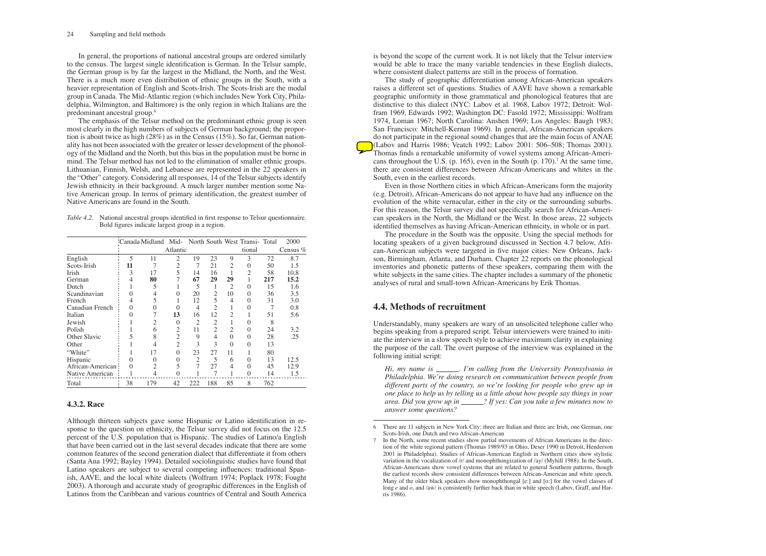## 24 Sampling and field methods

In general, the proportions of national ancestral groups are ordered similarly to the census. The largest single identification is German. In the Telsur sample, the German group is by far the largest in the Midland, the North, and the West. There is a much more even distribution of ethnic groups in the South, with a heavier representation of English and Scots-Irish. The Scots-Irish are the modal group in Canada. The Mid-Atlantic region (which includes New York City, Philadelphia, Wilmington, and Baltimore) is the only region in which Italians are the predominant ancestral group.6

The emphasis of the Telsur method on the predominant ethnic group is seen most clearly in the high numbers of subjects of German background; the proportion is about twice as high (28%) as in the Census (15%). So far, German nationality has not been associated with the greater or lesser development of the phonology of the Midland and the North, but this bias in the population must be borne in mind. The Telsur method has not led to the elimination of smaller ethnic groups. Lithuanian, Finnish, Welsh, and Lebanese are represented in the 22 speakers in the "Other" category. Considering all responses, 14 of the Telsur subjects identify Jewish ethnicity in their background. A much larger number mention some Native American group. In terms of primary identification, the greatest number of Native Americans are found in the South.

| Table 4.2. National ancestral groups identified in first response to Telsur questionnaire. |
|--------------------------------------------------------------------------------------------|
| Bold figures indicate largest group in a region.                                           |

|                  |          | Canada Midland Mid- North South West Transi- Total |                |                |                |                |                |     | 2000       |
|------------------|----------|----------------------------------------------------|----------------|----------------|----------------|----------------|----------------|-----|------------|
|                  |          |                                                    | Atlantic       |                |                |                | tional         |     | Census $%$ |
| English          | 5        | 11                                                 | $\overline{2}$ | 19             | 23             | 9              | 3              | 72  | 8.7        |
| Scots-Irish      | 11       |                                                    | $\overline{c}$ |                | 21             | 2              | 0              | 50  | 1.5        |
| Irish            | 3        | 17                                                 | 5              | 14             | 16             |                | $\overline{c}$ | 58  | 10.8       |
| German           | 4        | 80                                                 |                | 67             | 29             | 29             |                | 217 | 15.2       |
| Dutch            | ı        | 5                                                  |                | 5              | 1              | $\overline{c}$ | 0              | 15  | 1.6        |
| Scandinavian     | $\Omega$ | 4                                                  | 0              | 20             | $\mathfrak{2}$ | 10             | 0              | 36  | 3.5        |
| French           | 4        | 5                                                  |                | 12             | 5              | 4              | 0              | 31  | 3.0        |
| Canadian French  | 0        |                                                    |                | 4              | 2              |                | 0              |     | 0.8        |
| Italian          | $\Omega$ |                                                    | 13             | 16             | 12             | $\overline{2}$ |                | 51  | 5.6        |
| Jewish           |          |                                                    | $\Omega$       | $\overline{2}$ | $\overline{2}$ |                | 0              | 8   |            |
| Polish           | 1        | 6                                                  | 2              | 11             | $\overline{2}$ | 2              | $\theta$       | 24  | 3.2        |
| Other Slavic     | 5        | 8                                                  | $\overline{2}$ | 9              | 4              | $\Omega$       | 0              | 28  | .25        |
| Other            |          |                                                    | $\overline{c}$ | 3              | 3              | $\Omega$       | $\Omega$       | 13  |            |
| "White"          |          | 17                                                 | $\Omega$       | 23             | 27             | 11             |                | 80  |            |
| Hispanic         | $\Omega$ | 0                                                  | 0              | $\overline{2}$ | 5              | 6              | 0              | 13  | 12.5       |
| African-American | 0        | 2                                                  | 5              | 7              | 27             | 4              | $\Omega$       | 45  | 12.9       |
| Native American  |          |                                                    | 0              |                | 7              |                | $\Omega$       | 14  | 1.5        |
| Total            | 38       | 179                                                | 42             | 222            | 188            | 85             | 8              | 762 |            |

# **4.3.2. Race**

Although thirteen subjects gave some Hispanic or Latino identification in response to the question on ethnicity, the Telsur survey did not focus on the 12.5 percent of the U.S. population that is Hispanic. The studies of Latino/a English that have been carried out in the last several decades indicate that there are some common features of the second generation dialect that differentiate it from others (Santa Ana 1992; Bayley 1994). Detailed sociolinguistic studies have found that Latino speakers are subject to several competing influences: traditional Spanish, AAVE, and the local white dialects (Wolfram 1974; Poplack 1978; Fought 2003). A thorough and accurate study of geographic differences in the English of Latinos from the Caribbean and various countries of Central and South America

*Hi, my name is* \_\_\_\_\_\_. *I'm calling from the University Pennsylvania in Philadelphia. We're doing research on communication between people from different parts of the country, so we're looking for people who grew up in one place to help us by telling us a little about how people say things in your area. Did you grow up in ? If yes: Can you take a few minutes now to answer some questions?*

is beyond the scope of the current work. It is not likely that the Telsur interview would be able to trace the many variable tendencies in these English dialects, where consistent dialect patterns are still in the process of formation.

The study of geographic differentiation among African-American speakers raises a different set of questions. Studies of AAVE have shown a remarkable geographic uniformity in those grammatical and phonological features that are distinctive to this dialect (NYC: Labov et al. 1968, Labov 1972; Detroit: Wolfram 1969, Edwards 1992; Washington DC: Fasold 1972; Mississippi: Wolfram 1974, Loman 1967; North Carolina: Anshen 1969; Los Angeles: Baugh 1983; San Francisco: Mitchell-Kernan 1969). In general, African-American speakers do not participate in the regional sound changes that are the main focus of ANAE (Labov and Harris 1986; Veatch 1992; Labov 2001: 506–508; Thomas 2001). Thomas finds a remarkable uniformity of vowel systems among African-Americans throughout the U.S. (p. 165), even in the South (p. 170).<sup>7</sup> At the same time, there are consistent differences between African-Americans and whites in the South, even in the earliest records.

Even in those Northern cities in which African-Americans form the majority (e.g. Detroit), African-Americans do not appear to have had any influence on the evolution of the white vernacular, either in the city or the surrounding suburbs. For this reason, the Telsur survey did not specifically search for African-American speakers in the North, the Midland or the West. In those areas, 22 subjects identified themselves as having African-American ethnicity, in whole or in part.

The procedure in the South was the opposite. Using the special methods for locating speakers of a given background discussed in Section 4.7 below, African-American subjects were targeted in five major cities: New Orleans, Jackson, Birmingham, Atlanta, and Durham. Chapter 22 reports on the phonological inventories and phonetic patterns of these speakers, comparing them with the white subjects in the same cities. The chapter includes a summary of the phonetic analyses of rural and small-town African-Americans by Erik Thomas.

# **4.4. Methods of recruitment**

Understandably, many speakers are wary of an unsolicited telephone caller who begins speaking from a prepared script. Telsur interviewers were trained to initiate the interview in a slow speech style to achieve maximum clarity in explaining the purpose of the call. The overt purpose of the interview was explained in the following initial script:

In the North, some recent studies show partial movements of African Americans in the direction of the white regional pattern (Thomas 1989/93 in Ohio, Deser 1990 in Detroit, Henderson 2001 in Philadelphia). Studies of African-American English in Northern cities show stylistic variation in the vocalization of /r/ and monophthongization of /ay/ (Myhill 1988). In the South, African-Americans show vowel systems that are related to general Southern patterns, though the earliest records show consistent differences between African-American and white speech. Many of the older black speakers show monophthongal [e:] and [o:] for the vowel classes of long *e* and *o*, and /aw/ is consistently further back than in white speech (Labov, Graff, and Harris 1986).

<sup>6</sup> There are 11 subjects in New York City: three are Italian and three are Irish, one German, one Scots-Irish, one Dutch and two African-American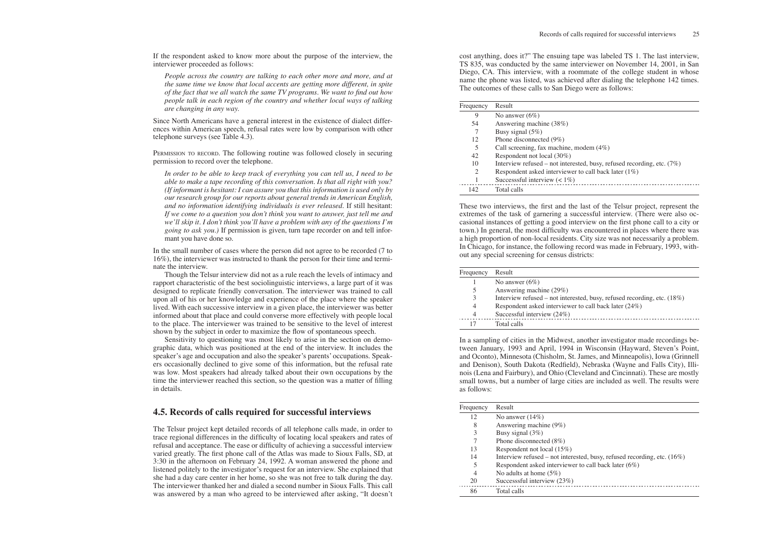refused recording, etc.  $(18%)$  $ck$  later (24%)

-----------------------------------

refused recording, etc.  $(16%)$ k later  $(6%)$ 

If the respondent asked to know more about the purpose of the interview, the interviewer proceeded as follows:

*People across the country are talking to each other more and more, and at the same time we know that local accents are getting more different, in spite of the fact that we all watch the same TV programs. We want to find out how people talk in each region of the country and whether local ways of talking are changing in any way.*

Since North Americans have a general interest in the existence of dialect differences within American speech, refusal rates were low by comparison with other telephone surveys (see Table 4.3).

PERMISSION TO RECORD. The following routine was followed closely in securing permission to record over the telephone.

*In order to be able to keep track of everything you can tell us, I need to be able to make a tape recording of this conversation. Is that all right with you? (If informant is hesitant: I can assure you that this information is used only by our research group for our reports about general trends in American English, and no information identifying individuals is ever released.* If still hesitant: *If we come to a question you don't think you want to answer, just tell me and we'll skip it. I don't think you'll have a problem with any of the questions I'm going to ask you.*) If permission is given, turn tape recorder on and tell informant you have done so.

In the small number of cases where the person did not agree to be recorded (7 to 16%), the interviewer was instructed to thank the person for their time and terminate the interview.

Though the Telsur interview did not as a rule reach the levels of intimacy and rapport characteristic of the best sociolinguistic interviews, a large part of it was designed to replicate friendly conversation. The interviewer was trained to call upon all of his or her knowledge and experience of the place where the speaker lived. With each successive interview in a given place, the interviewer was better informed about that place and could converse more effectively with people local to the place. The interviewer was trained to be sensitive to the level of interest shown by the subject in order to maximize the flow of spontaneous speech.

Sensitivity to questioning was most likely to arise in the section on demographic data, which was positioned at the end of the interview. It includes the speaker's age and occupation and also the speaker's parents' occupations. Speakers occasionally declined to give some of this information, but the refusal rate was low. Most speakers had already talked about their own occupations by the time the interviewer reached this section, so the question was a matter of filling in details.

# **4.5. Records of calls required for successful interviews**

The Telsur project kept detailed records of all telephone calls made, in order to trace regional differences in the difficulty of locating local speakers and rates of refusal and acceptance. The ease or difficulty of achieving a successful interview varied greatly. The first phone call of the Atlas was made to Sioux Falls, SD, at 3:30 in the afternoon on February 24, 1992. A woman answered the phone and listened politely to the investigator's request for an interview. She explained that she had a day care center in her home, so she was not free to talk during the day. The interviewer thanked her and dialed a second number in Sioux Falls. This call was answered by a man who agreed to be interviewed after asking, "It doesn't

cost anything, does it?" The ensuing tape was labeled TS 1. The last interview, TS 835, was conducted by the same interviewer on November 14, 2001, in San Diego, CA. This interview, with a roommate of the college student in whose name the phone was listed, was achieved after dialing the telephone 142 times. The outcomes of these calls to San Diego were as follows:

| Frequency | Result                                                                   |
|-----------|--------------------------------------------------------------------------|
| 9         | No answer $(6\%)$                                                        |
| 54        | Answering machine (38%)                                                  |
|           | Busy signal $(5%)$                                                       |
| 12        | Phone disconnected $(9\%)$                                               |
| 5         | Call screening, fax machine, modem $(4\%)$                               |
| 42        | Respondent not local (30%)                                               |
| 10        | Interview refused – not interested, busy, refused recording, etc. $(7%)$ |
| 2         | Respondent asked interviewer to call back later $(1\%)$                  |
|           | Successsful interview $(< 1\%)$                                          |
| 142       | Total calls                                                              |
|           |                                                                          |

These two interviews, the first and the last of the Telsur project, represent the extremes of the task of garnering a successful interview. (There were also occasional instances of getting a good interview on the first phone call to a city or town.) In general, the most difficulty was encountered in places where there was a high proportion of non-local residents. City size was not necessarily a problem. In Chicago, for instance, the following record was made in February, 1993, without any special screening for census districts:

| Frequency | Result                                    |
|-----------|-------------------------------------------|
|           | No answer $(6\%)$                         |
|           | Answering machine (29%)                   |
| 3         | Interview refused – not interested, busy, |
|           | Respondent asked interviewer to call bac  |
|           | Successful interview (24%)                |
| 17        | Total calls                               |

In a sampling of cities in the Midwest, another investigator made recordings between January, 1993 and April, 1994 in Wisconsin (Hayward, Steven's Point, and Oconto), Minnesota (Chisholm, St. James, and Minneapolis), Iowa (Grinnell and Denison), South Dakota (Redfield), Nebraska (Wayne and Falls City), Illinois (Lena and Fairbury), and Ohio (Cleveland and Cincinnati). These are mostly small towns, but a number of large cities are included as well. The results were as follows:

| Frequency | Result                                      |
|-----------|---------------------------------------------|
| 12        | No answer $(14\%)$                          |
| 8         | Answering machine (9%)                      |
| 3         | Busy signal $(3%)$                          |
|           | Phone disconnected (8%)                     |
| 13        | Respondent not local (15%)                  |
| 14        | Interview refused – not interested, busy, r |
| 5         | Respondent asked interviewer to call bac    |
| 4         | No adults at home $(5\%)$                   |
| 20        | Successsful interview (23%)                 |
| 86        | Total calls                                 |
|           |                                             |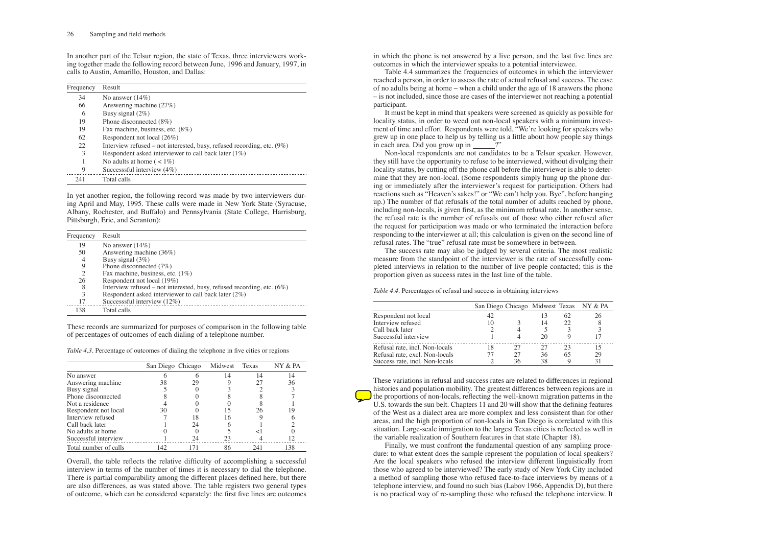In another part of the Telsur region, the state of Texas, three interviewers working together made the following record between June, 1996 and January, 1997, in calls to Austin, Amarillo, Houston, and Dallas:

| Frequency | Result                                                                    |
|-----------|---------------------------------------------------------------------------|
| 34        | No answer $(14\%)$                                                        |
| 66        | Answering machine (27%)                                                   |
| 6         | Busy signal $(2\%)$                                                       |
| 19        | Phone disconnected $(8\%)$                                                |
| 19        | Fax machine, business, etc. (8%)                                          |
| 62        | Respondent not local (26%)                                                |
| 22        | Interview refused – not interested, busy, refused recording, etc. $(9\%)$ |
| 3         | Respondent asked interviewer to call back later $(1\%)$                   |
|           | No adults at home ( $\lt 1\%$ )                                           |
| 9         | Successsful interview $(4%)$                                              |
| 241       | Total calls                                                               |

In yet another region, the following record was made by two interviewers during April and May, 1995. These calls were made in New York State (Syracuse, Albany, Rochester, and Buffalo) and Pennsylvania (State College, Harrisburg, Pittsburgh, Erie, and Scranton):

| Frequency | Result                                                                    |
|-----------|---------------------------------------------------------------------------|
| 19        | No answer $(14\%)$                                                        |
| 50        | Answering machine (36%)                                                   |
| 4         | Busy signal (3%)                                                          |
| 9         | Phone disconnected $(7%)$                                                 |
| 2         | Fax machine, business, etc. $(1\%)$                                       |
| 26        | Respondent not local (19%)                                                |
| 8         | Interview refused – not interested, busy, refused recording, etc. $(6\%)$ |
| 3         | Respondent asked interviewer to call back later $(2\%)$                   |
| 17        | Successsful interview $(12\%)$                                            |
| 138       | Total calls                                                               |

These records are summarized for purposes of comparison in the following table of percentages of outcomes of each dialing of a telephone number.

It must be kept in mind that speakers were screened as quickly as possible for locality status, in order to weed out non-local speakers with a minimum investment of time and effort. Respondents were told, "We're looking for speakers who grew up in one place to help us by telling us a little about how people say things  $\overline{\text{in}}$  each area. Did you grow up in  $\frac{1}{\sqrt{1-\frac{1}{n}}}$ ?"

|                       | San Diego Chicago |    | Midwest | Texas | NY & PA |
|-----------------------|-------------------|----|---------|-------|---------|
| No answer             |                   |    | 14      | 14    | 14      |
| Answering machine     | 38                | 29 |         | 27    | 36      |
| Busy signal           |                   |    |         |       |         |
| Phone disconnected    |                   |    |         |       |         |
| Not a residence       |                   |    |         |       |         |
| Respondent not local  | 30                |    | 15      | 26    | 19      |
| Interview refused     |                   |    | 16      |       |         |
| Call back later       |                   | 24 |         |       |         |
| No adults at home     |                   |    |         |       |         |
| Successful interview  |                   | 24 | 23      |       |         |
| Total number of calls | 142               |    | 86      | 241   | 138     |

Overall, the table reflects the relative difficulty of accomplishing a successful interview in terms of the number of times it is necessary to dial the telephone. There is partial comparability among the different places defined here, but there are also differences, as was stated above. The table registers two general types of outcome, which can be considered separately: the first five lines are outcomes in which the phone is not answered by a live person, and the last five lines are outcomes in which the interviewer speaks to a potential interviewee.

Table 4.4 summarizes the frequencies of outcomes in which the interviewer reached a person, in order to assess the rate of actual refusal and success. The case of no adults being at home – when a child under the age of 18 answers the phone – is not included, since those are cases of the interviewer not reaching a potential participant.

Non-local respondents are not candidates to be a Telsur speaker. However, they still have the opportunity to refuse to be interviewed, without divulging their locality status, by cutting off the phone call before the interviewer is able to determine that they are non-local. (Some respondents simply hung up the phone during or immediately after the interviewer's request for participation. Others had reactions such as "Heaven's sakes!" or "We can't help you. Bye", before hanging up.) The number of flat refusals of the total number of adults reached by phone, including non-locals, is given first, as the minimum refusal rate. In another sense, the refusal rate is the number of refusals out of those who either refused after the request for participation was made or who terminated the interaction before responding to the interviewer at all; this calculation is given on the second line of refusal rates. The "true" refusal rate must be somewhere in between.

The success rate may also be judged by several criteria. The most realistic measure from the standpoint of the interviewer is the rate of successfully completed interviews in relation to the number of live people contacted; this is the proportion given as success rates in the last line of the table.

*Table 4.4.* Percentages of refusal and success in obtaining interviews

|                                |    |    |    |    | San Diego Chicago Midwest Texas NY & PA |
|--------------------------------|----|----|----|----|-----------------------------------------|
| Respondent not local           | 42 |    |    | 62 | 26                                      |
| Interview refused              | 10 |    | 14 | 22 |                                         |
| Call back later                |    |    |    |    |                                         |
| Successful interview           |    |    | 20 |    |                                         |
| Refusal rate, incl. Non-locals |    | 27 | 27 | 23 |                                         |
| Refusal rate, excl. Non-locals |    | 27 | 36 | 65 | 29                                      |
| Success rate, incl. Non-locals |    | 36 | 38 | Q  |                                         |
|                                |    |    |    |    |                                         |

These variations in refusal and success rates are related to differences in regional histories and population mobility. The greatest differences between regions are in the proportions of non-locals, reflecting the well-known migration patterns in the U.S. towards the sun belt. Chapters 11 and 20 will show that the defining features of the West as a dialect area are more complex and less consistent than for other areas, and the high proportion of non-locals in San Diego is correlated with this situation. Large-scale inmigration to the largest Texas cities is reflected as well in the variable realization of Southern features in that state (Chapter 18).

Finally, we must confront the fundamental question of any sampling procedure: to what extent does the sample represent the population of local speakers? Are the local speakers who refused the interview different linguistically from those who agreed to be interviewed? The early study of New York City included a method of sampling those who refused face-to-face interviews by means of a telephone interview, and found no such bias (Labov 1966, Appendix D), but there is no practical way of re-sampling those who refused the telephone interview. It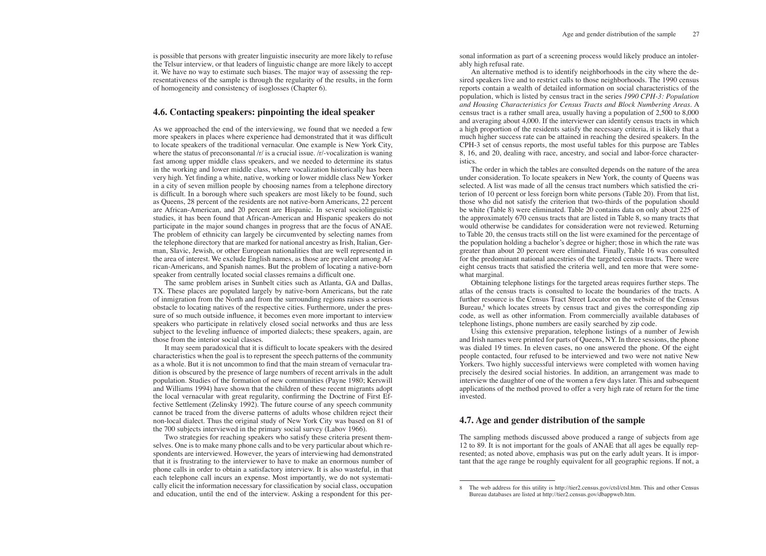is possible that persons with greater linguistic insecurity are more likely to refuse the Telsur interview, or that leaders of linguistic change are more likely to accept it. We have no way to estimate such biases. The major way of assessing the representativeness of the sample is through the regularity of the results, in the form of homogeneity and consistency of isoglosses (Chapter 6).

# **4.6. Contacting speakers: pinpointing the ideal speaker**

As we approached the end of the interviewing, we found that we needed a few more speakers in places where experience had demonstrated that it was difficult to locate speakers of the traditional vernacular. One example is New York City, where the status of preconsonantal  $/r/$  is a crucial issue.  $/r/$ -vocalization is waning fast among upper middle class speakers, and we needed to determine its status in the working and lower middle class, where vocalization historically has been very high. Yet finding a white, native, working or lower middle class New Yorker in a city of seven million people by choosing names from a telephone directory is difficult. In a borough where such speakers are most likely to be found, such as Queens, 28 percent of the residents are not native-born Americans, 22 percent are African-American, and 20 percent are Hispanic. In several sociolinguistic studies, it has been found that African-American and Hispanic speakers do not participate in the major sound changes in progress that are the focus of ANAE. The problem of ethnicity can largely be circumvented by selecting names from the telephone directory that are marked for national ancestry as Irish, Italian, German, Slavic, Jewish, or other European nationalities that are well represented in the area of interest. We exclude English names, as those are prevalent among African-Americans, and Spanish names. But the problem of locating a native-born speaker from centrally located social classes remains a difficult one.

The same problem arises in Sunbelt cities such as Atlanta, GA and Dallas, TX. These places are populated largely by native-born Americans, but the rate of inmigration from the North and from the surrounding regions raises a serious obstacle to locating natives of the respective cities. Furthermore, under the pressure of so much outside influence, it becomes even more important to interview speakers who participate in relatively closed social networks and thus are less subject to the leveling influence of imported dialects; these speakers, again, are those from the interior social classes.

It may seem paradoxical that it is difficult to locate speakers with the desired characteristics when the goal is to represent the speech patterns of the community as a whole. But it is not uncommon to find that the main stream of vernacular tradition is obscured by the presence of large numbers of recent arrivals in the adult population. Studies of the formation of new communities (Payne 1980; Kerswill and Williams 1994) have shown that the children of these recent migrants adopt the local vernacular with great regularity, confirming the Doctrine of First Effective Settlement (Zelinsky 1992). The future course of any speech community cannot be traced from the diverse patterns of adults whose children reject their non-local dialect. Thus the original study of New York City was based on 81 of the 700 subjects interviewed in the primary social survey (Labov 1966).

Two strategies for reaching speakers who satisfy these criteria present themselves. One is to make many phone calls and to be very particular about which respondents are interviewed. However, the years of interviewing had demonstrated that it is frustrating to the interviewer to have to make an enormous number of phone calls in order to obtain a satisfactory interview. It is also wasteful, in that each telephone call incurs an expense. Most importantly, we do not systematically elicit the information necessary for classification by social class, occupation and education, until the end of the interview. Asking a respondent for this personal information as part of a screening process would likely produce an intolerably high refusal rate.

An alternative method is to identify neighborhoods in the city where the desired speakers live and to restrict calls to those neighborhoods. The 1990 census reports contain a wealth of detailed information on social characteristics of the population, which is listed by census tract in the series *1990 CPH-3: Population and Housing Characteristics for Census Tracts and Block Numbering Areas*. A census tract is a rather small area, usually having a population of 2,500 to 8,000 and averaging about 4,000. If the interviewer can identify census tracts in which a high proportion of the residents satisfy the necessary criteria, it is likely that a much higher success rate can be attained in reaching the desired speakers. In the CPH-3 set of census reports, the most useful tables for this purpose are Tables 8, 16, and 20, dealing with race, ancestry, and social and labor-force characteristics.

The order in which the tables are consulted depends on the nature of the area under consideration. To locate speakers in New York, the county of Queens was selected. A list was made of all the census tract numbers which satisfied the criterion of 10 percent or less foreign born white persons (Table 20). From that list, those who did not satisfy the criterion that two-thirds of the population should be white (Table 8) were eliminated. Table 20 contains data on only about 225 of the approximately 670 census tracts that are listed in Table 8, so many tracts that would otherwise be candidates for consideration were not reviewed. Returning to Table 20, the census tracts still on the list were examined for the percentage of the population holding a bachelor's degree or higher; those in which the rate was greater than about 20 percent were eliminated. Finally, Table 16 was consulted for the predominant national ancestries of the targeted census tracts. There were eight census tracts that satisfied the criteria well, and ten more that were somewhat marginal.

Obtaining telephone listings for the targeted areas requires further steps. The atlas of the census tracts is consulted to locate the boundaries of the tracts. A further resource is the Census Tract Street Locator on the website of the Census Bureau,<sup>8</sup> which locates streets by census tract and gives the corresponding zip code, as well as other information. From commercially available databases of telephone listings, phone numbers are easily searched by zip code.

Using this extensive preparation, telephone listings of a number of Jewish and Irish names were printed for parts of Queens, NY. In three sessions, the phone was dialed 19 times. In eleven cases, no one answered the phone. Of the eight people contacted, four refused to be interviewed and two were not native New Yorkers. Two highly successful interviews were completed with women having precisely the desired social histories. In addition, an arrangement was made to interview the daughter of one of the women a few days later. This and subsequent applications of the method proved to offer a very high rate of return for the time invested.

# **4.7. Age and gender distribution of the sample**

The sampling methods discussed above produced a range of subjects from age 12 to 89. It is not important for the goals of ANAE that all ages be equally represented; as noted above, emphasis was put on the early adult years. It is important that the age range be roughly equivalent for all geographic regions. If not, a

<sup>8</sup> The web address for this utility is http://tier2.census.gov/ctsl/ctsl.htm. This and other Census Bureau databases are listed at http://tier2.census.gov/dbappweb.htm.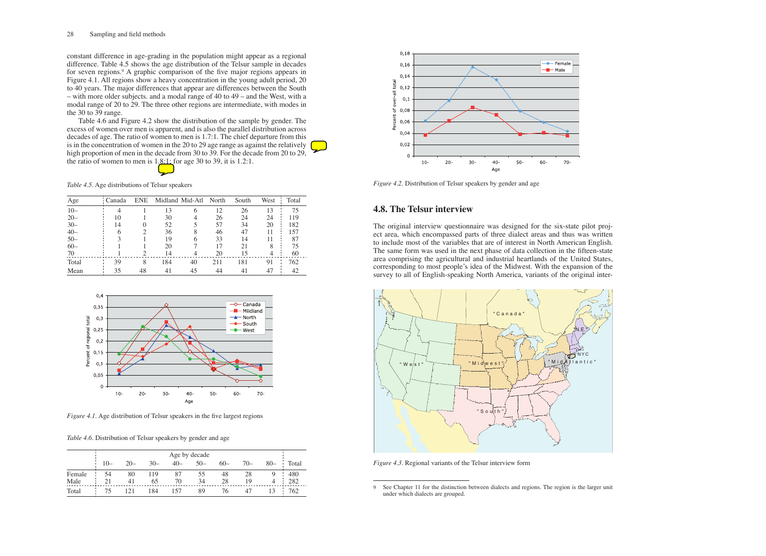## 28 Sampling and field methods

Table 4.6 and Figure 4.2 show the distribution of the sample by gender. The excess of women over men is apparent, and is also the parallel distribution across decades of age. The ratio of women to men is 1.7:1. The chief departure from this is in the concentration of women in the 20 to 29 age range as against the relatively high proportion of men in the decade from 30 to 39. For the decade from 20 to 29, the ratio of women to men is  $1.8:1:$  for age 30 to 39, it is 1.2:1.

constant difference in age-grading in the population might appear as a regional difference. Table 4.5 shows the age distribution of the Telsur sample in decades for seven regions.9 A graphic comparison of the five major regions appears in Figure 4.1. All regions show a heavy concentration in the young adult period, 20 to 40 years. The major differences that appear are differences between the South – with more older subjects. and a modal range of 40 to 49 – and the West, with a modal range of 20 to 29. The three other regions are intermediate, with modes in the 30 to 39 range.

## *Table 4.5.* Age distributions of Telsur speakers

| Age    | Canada | <b>ENE</b> |     | Midland Mid-Atl North |     | South | West | Total |
|--------|--------|------------|-----|-----------------------|-----|-------|------|-------|
| $10 -$ |        |            | 13  | 6                     | 12  | 26    | 13   | 75    |
| $20 -$ | 10     |            | 30  |                       | 26  | 24    | 24   | 119   |
| $30-$  | 14     |            | 52  |                       | 57  | 34    | 20   | 182   |
| $40-$  | 6      |            | 36  | 8                     | 46  | 47    |      | 157   |
| $50 -$ |        |            | 19  |                       | 33  | 14    |      | 87    |
| $60 -$ |        |            | 20  |                       | 17  | 21    | 8    | 75    |
| 70     |        |            | 14  |                       | 20  | 15    |      | 60    |
| Total  | 39     | 8          | 184 | 40                    | 211 | 181   | 91   | 762   |
| Mean   | 35     | 48         | 41  | 45                    | 44  |       |      | 42    |



*Figure 4.1.* Age distribution of Telsur speakers in the five largest regions

*Table 4.6.* Distribution of Telsur speakers by gender and age

|        |       |        |       |       | Age by decade |       |       |        |       |
|--------|-------|--------|-------|-------|---------------|-------|-------|--------|-------|
|        | $10-$ | $20 -$ | $30-$ | $40-$ | $50-$         | $60-$ | $70-$ | $80 -$ | Total |
| Female |       | 80     | 119   | 87    | 55            | 48    | 28    |        | 480   |
| Male   |       | 41     | 65    | 70    | 34            | 28    | 19    |        | 282   |
| Total  | 75.   |        | 184   | 57    | 89            | 76    |       |        | 762   |



*Figure 4.2.* Distribution of Telsur speakers by gender and age

# **4.8. The Telsur interview**

The original interview questionnaire was designed for the six-state pilot project area, which encompassed parts of three dialect areas and thus was written to include most of the variables that are of interest in North American English. The same form was used in the next phase of data collection in the fifteen-state area comprising the agricultural and industrial heartlands of the United States, corresponding to most people's idea of the Midwest. With the expansion of the survey to all of English-speaking North America, variants of the original inter-





*Figure 4.3.* Regional variants of the Telsur interview form

<sup>9</sup> See Chapter 11 for the distinction between dialects and regions. The region is the larger unit under which dialects are grouped.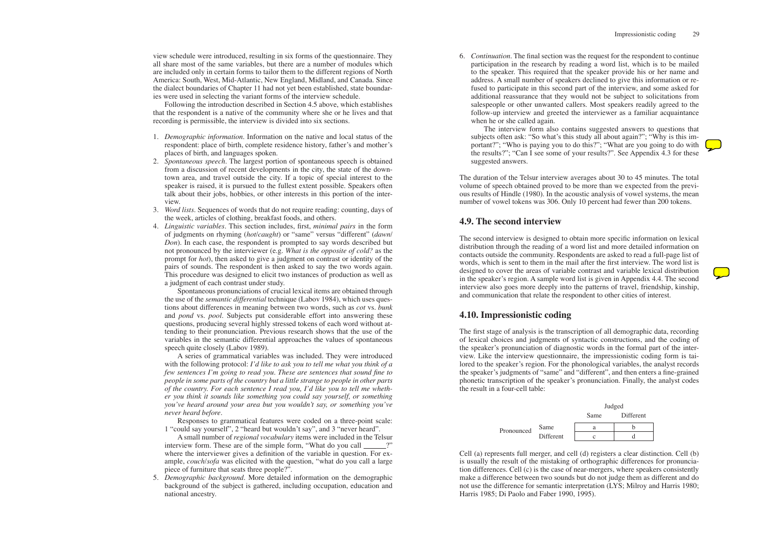view schedule were introduced, resulting in six forms of the questionnaire. They all share most of the same variables, but there are a number of modules which are included only in certain forms to tailor them to the different regions of North America: South, West, Mid-Atlantic, New England, Midland, and Canada. Since the dialect boundaries of Chapter 11 had not yet been established, state boundaries were used in selecting the variant forms of the interview schedule.

Following the introduction described in Section 4.5 above, which establishes that the respondent is a native of the community where she or he lives and that recording is permissible, the interview is divided into six sections.

- 1. *Demographic information*. Information on the native and local status of the respondent: place of birth, complete residence history, father's and mother's places of birth, and languages spoken.
- 2. *Spontaneous speech*. The largest portion of spontaneous speech is obtained from a discussion of recent developments in the city, the state of the downtown area, and travel outside the city. If a topic of special interest to the speaker is raised, it is pursued to the fullest extent possible. Speakers often talk about their jobs, hobbies, or other interests in this portion of the interview.
- 3. *Word lists*. Sequences of words that do not require reading: counting, days of the week, articles of clothing, breakfast foods, and others.
- 4. *Linguistic variables*. This section includes, first, *minimal pairs* in the form of judgments on rhyming (*hot*/*caught*) or "same" versus "different" (*dawn*/ *Don*). In each case, the respondent is prompted to say words described but not pronounced by the interviewer (e.g. *What is the opposite of cold?* as the prompt for *hot*), then asked to give a judgment on contrast or identity of the pairs of sounds. The respondent is then asked to say the two words again. This procedure was designed to elicit two instances of production as well as a judgment of each contrast under study.

Spontaneous pronunciations of crucial lexical items are obtained through the use of the *semantic differential* technique (Labov 1984), which uses questions about differences in meaning between two words, such as *cot* vs. *bunk* and *pond* vs. *pool*. Subjects put considerable effort into answering these questions, producing several highly stressed tokens of each word without attending to their pronunciation. Previous research shows that the use of the variables in the semantic differential approaches the values of spontaneous speech quite closely (Labov 1989).

A series of grammatical variables was included. They were introduced with the following protocol: *I'd like to ask you to tell me what you think of a few sentences I'm going to read you. These are sentences that sound fine to people in some parts of the country but a little strange to people in other parts of the country. For each sentence I read you, I'd like you to tell me whether you think it sounds like something you could say yourself, or something you've heard around your area but you wouldn't say, or something you've never heard before.*

Responses to grammatical features were coded on a three-point scale: 1 "could say yourself", 2 "heard but wouldn't say", and 3 "never heard".

A small number of *regional vocabulary* items were included in the Telsur interview form. These are of the simple form, "What do you call \_\_\_\_\_\_?" where the interviewer gives a definition of the variable in question. For example, *couch*/*sofa* was elicited with the question, "what do you call a large piece of furniture that seats three people?".

5. *Demographic background*. More detailed information on the demographic background of the subject is gathered, including occupation, education and national ancestry.

6. *Continuation*. The final section was the request for the respondent to continue participation in the research by reading a word list, which is to be mailed to the speaker. This required that the speaker provide his or her name and address. A small number of speakers declined to give this information or refused to participate in this second part of the interview, and some asked for additional reassurance that they would not be subject to solicitations from salespeople or other unwanted callers. Most speakers readily agreed to the follow-up interview and greeted the interviewer as a familiar acquaintance when he or she called again.

The interview form also contains suggested answers to questions that subjects often ask: "So what's this study all about again?"; "Why is this important?"; "Who is paying you to do this?"; "What are you going to do with the results?"; "Can I see some of your results?". See Appendix 4.3 for these suggested answers.

The duration of the Telsur interview averages about 30 to 45 minutes. The total volume of speech obtained proved to be more than we expected from the previous results of Hindle (1980). In the acoustic analysis of vowel systems, the mean number of vowel tokens was 306. Only 10 percent had fewer than 200 tokens.

# **4.9. The second interview**

The second interview is designed to obtain more specific information on lexical distribution through the reading of a word list and more detailed information on contacts outside the community. Respondents are asked to read a full-page list of words, which is sent to them in the mail after the first interview. The word list is designed to cover the areas of variable contrast and variable lexical distribution in the speaker's region. A sample word list is given in Appendix 4.4. The second interview also goes more deeply into the patterns of travel, friendship, kinship, and communication that relate the respondent to other cities of interest.

# **4.10. Impressionistic coding**

The first stage of analysis is the transcription of all demographic data, recording of lexical choices and judgments of syntactic constructions, and the coding of the speaker's pronunciation of diagnostic words in the formal part of the interview. Like the interview questionnaire, the impressionistic coding form is tailored to the speaker's region. For the phonological variables, the analyst records the speaker's judgments of "same" and "different", and then enters a fine-grained phonetic transcription of the speaker's pronunciation. Finally, the analyst codes the result in a four-cell table:

|            |           | Judged |           |  |  |  |  |
|------------|-----------|--------|-----------|--|--|--|--|
|            |           | Same   | Different |  |  |  |  |
| Pronounced | Same      |        |           |  |  |  |  |
|            | Different |        |           |  |  |  |  |

Cell (a) represents full merger, and cell (d) registers a clear distinction. Cell (b) is usually the result of the mistaking of orthographic differences for pronunciation differences. Cell (c) is the case of near-mergers, where speakers consistently make a difference between two sounds but do not judge them as different and do not use the difference for semantic interpretation (LYS; Milroy and Harris 1980; Harris 1985; Di Paolo and Faber 1990, 1995).

| Different |
|-----------|
|-----------|

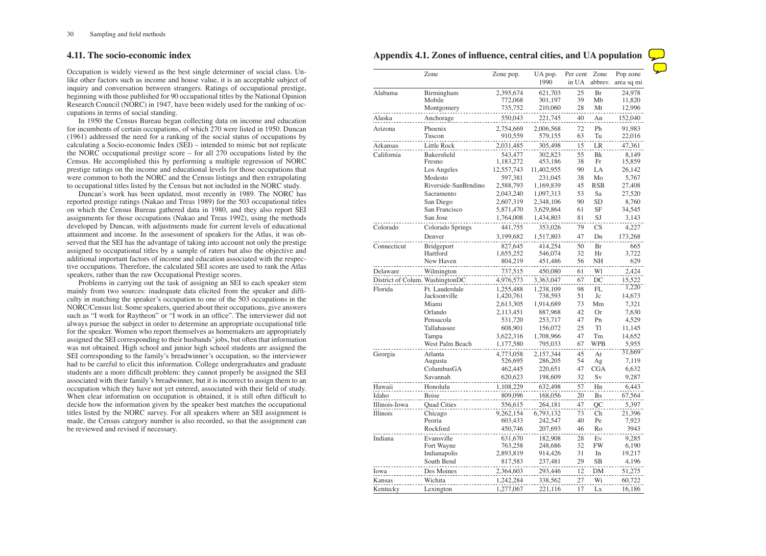# **4.11. The socio-economic index**

Occupation is widely viewed as the best single determiner of social class. Unlike other factors such as income and house value, it is an acceptable subject of inquiry and conversation between strangers. Ratings of occupational prestige, beginning with those published for 90 occupational titles by the National Opinion Research Council (NORC) in 1947, have been widely used for the ranking of occupations in terms of social standing.

In 1950 the Census Bureau began collecting data on income and education for incumbents of certain occupations, of which 270 were listed in 1950. Duncan (1961) addressed the need for a ranking of the social status of occupations by calculating a Socio-economic Index (SEI) – intended to mimic but not replicate the NORC occupational prestige score – for all 270 occupations listed by the Census. He accomplished this by performing a multiple regression of NORC prestige ratings on the income and educational levels for those occupations that were common to both the NORC and the Census listings and then extrapolating to occupational titles listed by the Census but not included in the NORC study.

Duncan's work has been updated, most recently in 1989. The NORC has reported prestige ratings (Nakao and Treas 1989) for the 503 occupational titles on which the Census Bureau gathered data in 1980, and they also report SEI assignments for those occupations (Nakao and Treas 1992), using the methods developed by Duncan, with adjustments made for current levels of educational attainment and income. In the assessment of speakers for the Atlas, it was observed that the SEI has the advantage of taking into account not only the prestige assigned to occupational titles by a sample of raters but also the objective and additional important factors of income and education associated with the respective occupations. Therefore, the calculated SEI scores are used to rank the Atlas speakers, rather than the raw Occupational Prestige scores.

Problems in carrying out the task of assigning an SEI to each speaker stem mainly from two sources: inadequate data elicited from the speaker and difficulty in matching the speaker's occupation to one of the 503 occupations in the NORC/Census list. Some speakers, queried about their occupations, give answers such as "I work for Raytheon" or "I work in an office". The interviewer did not always pursue the subject in order to determine an appropriate occupational title for the speaker. Women who report themselves as homemakers are appropriately assigned the SEI corresponding to their husbands' jobs, but often that information was not obtained. High school and junior high school students are assigned the SEI corresponding to the family's breadwinner's occupation, so the interviewer had to be careful to elicit this information. College undergraduates and graduate students are a more difficult problem: they cannot properly be assigned the SEI associated with their family's breadwinner, but it is incorrect to assign them to an occupation which they have not yet entered, associated with their field of study. When clear information on occupation is obtained, it is still often difficult to decide how the information given by the speaker best matches the occupational titles listed by the NORC survey. For all speakers where an SEI assignment is made, the Census category number is also recorded, so that the assignment can be reviewed and revised if necessary.

|  |   |  |    |    |                  | Pop zone   |  |
|--|---|--|----|----|------------------|------------|--|
|  |   |  |    |    |                  | area sq mi |  |
|  |   |  |    |    | 24,978<br>11,820 |            |  |
|  |   |  |    |    | 12,996           |            |  |
|  |   |  |    |    | 152,040          |            |  |
|  |   |  |    |    | 91,983<br>22,016 |            |  |
|  |   |  |    |    | 47,361           |            |  |
|  |   |  |    |    | 8,149            |            |  |
|  |   |  |    |    | 15,859           |            |  |
|  |   |  |    |    | 26,142<br>5,767  |            |  |
|  |   |  |    |    | 27,408           |            |  |
|  |   |  |    |    | 27,520           |            |  |
|  |   |  |    |    | 8,760<br>34,545  |            |  |
|  |   |  |    |    | 3,143            |            |  |
|  |   |  |    |    | 4.227            |            |  |
|  |   |  |    |    | 173,268          |            |  |
|  |   |  |    |    | 665<br>3,722     |            |  |
|  |   |  |    |    | 629              | 2          |  |
|  |   |  |    |    | 2,424            |            |  |
|  | . |  | 15 |    |                  |            |  |
|  |   |  |    |    | ,220             |            |  |
|  |   |  |    |    | 14,673<br>7,321  |            |  |
|  |   |  |    |    | 7,630            |            |  |
|  |   |  |    |    | 4,529            |            |  |
|  |   |  |    |    | 11,145<br>14,652 |            |  |
|  |   |  |    | 5. | ,955             |            |  |
|  |   |  |    |    | 31,669           |            |  |
|  |   |  |    |    | 7,119            |            |  |
|  |   |  |    |    | 6,632<br>9,287   |            |  |
|  |   |  |    |    | 6,443            |            |  |
|  |   |  |    |    | 67,564           |            |  |
|  |   |  |    |    | 5,397            |            |  |
|  |   |  |    |    | 21,396<br>7,923  |            |  |
|  |   |  |    |    | 3943             |            |  |
|  |   |  |    |    | 9,285            |            |  |
|  |   |  |    |    | 6,190            |            |  |
|  |   |  |    |    | 19,217<br>4,196  |            |  |
|  |   |  |    |    | 51,275           |            |  |
|  |   |  |    |    | 60,722           |            |  |
|  |   |  |    |    | 16,186           |            |  |

**Appendix 4.1. Zones of influence, central cities, and UA population**

|               | Zone                            | Zone pop.               | UA pop.<br>1990       | Per cent<br>in UA | Zone<br>abbrev.             | Pop zone<br>area sq m |
|---------------|---------------------------------|-------------------------|-----------------------|-------------------|-----------------------------|-----------------------|
| Alabama       | Birmingham                      | 2,395,674               | 621,703               | 25                | Br                          | 24,978                |
|               | Mobile                          | 772,068                 | 301,197               | 39                | Mb                          | 11,820                |
|               | Montgomery                      | 735,752                 | 210,060               | 28                | Mt                          | 12,996                |
| Alaska        | Anchorage                       | 550,043                 | 221,745               | 40                | An                          | 152,040               |
| Arizona       | Phoenix<br>Tuscon               | 2,754,669<br>910,559    | 2,006,568<br>579,155  | 72<br>63          | Ph<br>Tu                    | 91,983<br>22,016      |
| Arkansas      | Little Rock                     | 2,031,485               | 305,498               | 15                | LR                          | 47,361                |
| California    | Bakersfield                     | 543,477                 | 302,823               | 55                | <b>B</b> k                  | 8,149                 |
|               | Fresno<br>Los Angeles           | 1,183,272<br>12,557,743 | 453,186<br>11,402,955 | 38<br>90          | Fr<br>LA                    | 15,859<br>26,142      |
|               | Modesto                         | 597,381                 | 231,045               | 38                | Mo                          | 5,767                 |
|               | Riverside-SanBrndino            | 2,588,793               | 1,169,839             | 45                | <b>RSB</b>                  | 27,408                |
|               | Sacramento                      | 2,043,240               | 1,097,313             | 53                | Sa                          | 27,520                |
|               | San Diego                       | 2,607,319               | 2,348,106             | 90                | <b>SD</b>                   | 8,760                 |
|               | San Francisco                   | 5,871,470               | 3,629,864             | 61                | <b>SF</b>                   | 34,545                |
|               | San Jose                        | 1,764,008               | 1,434,803             | 81                | SJ                          | 3,143                 |
| Colorado      | Colorado Springs                | 441,755                 | 353,026               | 79                | CS                          | 4,227                 |
|               | Denver                          | 3,199,682               | 1,517,803             | 47                | Dn                          | 173,268               |
| Connecticut   | Bridgeport                      | 827,645                 | 414,254               | 50                | Br                          | 665                   |
|               | Hartford                        | 1,655,252               | 546,074               | 32                | Hr                          | 3,722                 |
|               | New Haven                       | 804,219                 | 451,486               | 56                | <b>NH</b>                   | 629                   |
| Delaware      | Wilmington                      | 737,515                 | 450,080               | 61                | W1                          | 2,424                 |
|               | District of Colum. WashingtonDC | 4,976,573               | 3,363,047             | 67                | DC                          | 15,522                |
| Florida       | Ft. Lauderdale                  | 1,255,488               | 1,238,109             | 98                | FL                          | 1,220                 |
|               | Jacksonville                    | 1,420,761               | 738,593               | 51                | Jc                          | 14,673                |
|               | Miami                           | 2,613,305               | 1,914,689             | 73                | Mm                          | 7,321                 |
|               | Orlando<br>Pensacola            | 2,113,451<br>531,720    | 887,968<br>253,717    | 42<br>47          | <b>Or</b><br>P <sub>n</sub> | 7,630<br>4,529        |
|               | Tallahassee                     | 608,901                 | 156,072               | 25                | Tl                          | 11,145                |
|               | Tampa                           | 3,622,316               | 1,708,966             | 47                | Tm                          | 14,652                |
|               | West Palm Beach                 | 1,177,580               | 795,033               | 67                | <b>WPB</b>                  | 5,955                 |
| Georgia       | Atlanta                         | 4,773,058               | 2,157,344             | 45                | At                          | 31,669                |
|               | Augusta                         | 526,695                 | 286,205               | 54                | Ag                          | 7,119                 |
|               | ColumbusGA                      | 462,445                 | 220,651               | 47                | <b>CGA</b>                  | 6,632                 |
|               | Savannah                        | 620,623                 | 198,609               | 32                | Sv                          | 9,287                 |
| Hawaii        | Honolulu                        | 1,108,229               | 632,498               | 57                | Hn                          | 6,443                 |
| Idaho         | Boise                           | 809,096                 | 168,056               | 20                | <b>Bs</b>                   | 67,564                |
| Illinois-Iowa | <b>Quad Cities</b>              | 556,615                 | 264,181               | 47                | QC                          | 5,397                 |
| Illinois      | Chicago                         | 9,262,154               | 6,793,132             | 73                | Ch                          | 21,396                |
|               | Peoria                          | 603,433                 | 242,547               | 40                | Pe                          | 7,923                 |
|               | Rockford                        | 450,746                 | 207,693               | 46                | Ro                          | 3943                  |
| Indiana       | Evansville                      | 631,670                 | 182,908               | 28                | Ev                          | 9,285                 |
|               | Fort Wayne                      | 763,258                 | 248,686               | 32                | <b>FW</b>                   | 6,190                 |
|               | Indianapolis                    | 2,893,819               | 914,426               | 31                | In                          | 19,217                |
|               | South Bend                      | 817,583                 | 237,481               | 29                | <b>SB</b>                   | 4,196                 |
| Iowa          | Des Moines                      | 2,364,603               | 293,446               | 12                | DM                          | 51,275                |
| Kansas        | Wichita                         | 1,242,284               | 338,562               | 27                | Wi                          | 60,722                |
| Kentucky      | Lexington                       | 1,277,067               | 221,116               | 17                | Lx                          | 16,186                |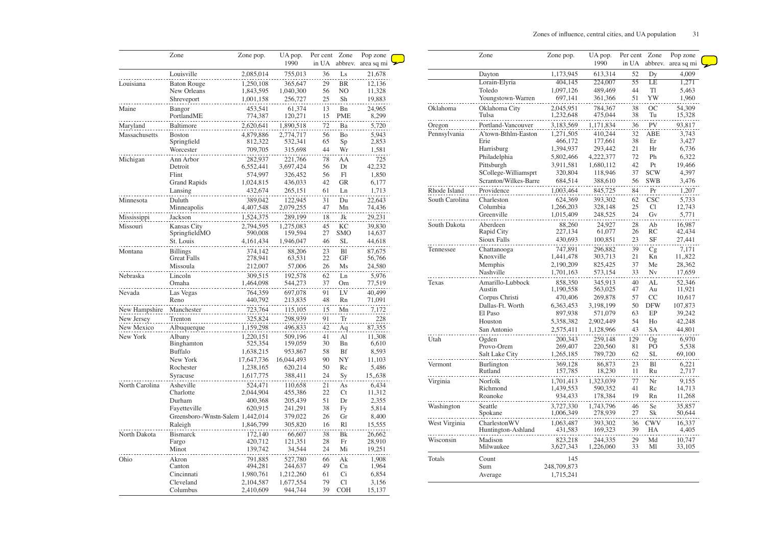|                | Zone                              | Zone pop.            | UA pop.<br>1990    | Per cent<br>in UA | Zone<br>abbrev. | Pop zone<br>area sq mi |
|----------------|-----------------------------------|----------------------|--------------------|-------------------|-----------------|------------------------|
|                | Louisville                        | 2,085,014            | 755,013            | 36                | Ls              | 21,678                 |
| Louisiana      | <b>Baton Rouge</b>                | 1,250,108            | 365,647            | 29                | <b>BR</b>       | 12,136                 |
|                | New Orleans                       | 1,843,595            | 1,040,300          | 56                | NO              | 11,328                 |
|                | Shreveport                        | 1,001,158            | 256,727            | 25                | Sh              | 19,883                 |
| Maine          | Bangor                            | 453,541              | 61,374             | 13                | Bn              | 24,965                 |
|                | PortlandME                        | 774,387              | 120,271            | 15                | <b>PME</b>      | 8,299                  |
| Maryland       | Baltimore                         | 2,620,641            | 1,890,518          | 72                | Ba              | 5,720                  |
| Massachusetts  | <b>Boston</b>                     | 4,879,886            | 2,774,717          | 56                | Bo              | 5,943                  |
|                | Springfield                       | 812,322              | 532,341            | 65                | Sp              | 2,853                  |
|                | Worcester                         | 709,705              | 315,698            | 44                | Wr              | 1,581                  |
| Michigan       | Ann Arbor                         | 282,937              | 221,766            | 78                | AA              | 725                    |
|                | Detroit                           | 6,552,441            | 3,697,424          | 56                | Dt              | 42,232                 |
|                | Flint                             | 574,997              | 326,452            | 56                | F <sub>l</sub>  | 1,850                  |
|                | <b>Grand Rapids</b>               | 1,024,815            | 436,033            | 42                | <b>GR</b>       | 6,177                  |
|                | Lansing                           | 432,674              | 265,151            | 61                | Ln              | 1,713                  |
| Minnesota      | Duluth                            | 389,042              | 122,945            | 31                | Du              | 22,643                 |
|                | Minneapolis                       | 4,407,548            | 2,079,255          | 47                | Mn              | 74,436                 |
| Mississippi    | Jackson                           | 1,524,375            | 289,199            | 18                | Jk              | 29,231                 |
| Missouri       | Kansas City                       | 2,794,595            | 1,275,083          | 45                | <b>KC</b>       | 39,830                 |
|                | SpringfieldMO                     | 590,008              | 159,594            | 27                | <b>SMO</b>      | 14,637                 |
|                | St. Louis                         | 4,161,434            | 1,946,047          | 46                | SL              | 44,618                 |
| Montana        | <b>Billings</b>                   | 374,142              | 88,206             | 23                | B <sub>1</sub>  | 87,675                 |
|                | <b>Great Falls</b>                | 278,941              | 63,531             | 22                | <b>GF</b>       | 56,766                 |
|                | Missoula                          | 212,007              | 57,006             | 26                | Ms              | 24,580                 |
| Nebraska       | Lincoln                           | 309,515              | 192,578            | 62                | Ln              | 5,976                  |
|                | Omaha                             | 1,464,098            | 544,273            | 37                | Om              | 77,519                 |
| Nevada         | Las Vegas                         | 764,359              | 697,078            | 91                | LV              | 40,499                 |
|                | Reno                              | 440,792              | 213,835            | 48                | Rn              | 71,091                 |
| New Hampshire  | Manchester                        | 723,764              | 115,105            | 15                | Mn              | 7,172                  |
| New Jersey     | Trenton                           | 325,824              | 298,939            | 91                | <b>Tr</b>       | 228                    |
| New Mexico     | Albuquerque                       | 1,159,298            | 496,833            | 42                | Aq              | 87,355                 |
| New York       |                                   |                      |                    |                   |                 |                        |
|                | Albany<br>Binghamton              | 1,220,151<br>525,354 | 509,196<br>159,059 | 41<br>30          | Al<br>Bn        | 11,308<br>6,610        |
|                | Buffalo                           | 1,638,215            | 953,867            | 58                | <b>Bf</b>       | 8,593                  |
|                | New York                          | 17,647,736           | 16,044,493         | 90                | NY              | 11,103                 |
|                | Rochester                         | 1,238,165            | 620,214            | 50                | Rc              | 5,486                  |
|                | Syracuse                          | 1,617,775            | 388,411            | 24                | Sy              | 15,,638                |
| North Carolina | Asheville                         |                      |                    |                   |                 | 6,434                  |
|                | Charlotte                         | 524,471<br>2,044,904 | 110,658<br>455,386 | 21<br>22          | As<br>Ct        | 11,312                 |
|                | Durham                            | 400,368              | 205,439            | 51                | Dr              | 2,355                  |
|                | Fayetteville                      | 620,915              | 241,291            | 38                | <b>Fy</b>       | 5,814                  |
|                | Greensboro-/Wnstn-Salem 1,442,014 |                      | 379,022            | 26                | Gr              | 8,400                  |
|                | Raleigh                           | 1,846,799            | 305,820            | 16                | R1              | 15,555                 |
|                |                                   |                      |                    |                   |                 |                        |
| North Dakota   | <b>Bismarck</b>                   | 172,140<br>420,712   | 66,607<br>121,351  | 38<br>28          | Bk<br>Fr        | 26,662<br>28,910       |
|                | Fargo<br>Minot                    | 139,742              | 34,544             | 24                | Mi              | 19,251                 |
|                |                                   |                      |                    |                   |                 |                        |
| Ohio           | Akron                             | 791,885              | 527,780            | 66                | Ak              | 1,908                  |
|                | Canton                            | 494,281              | 244,637            | 49                | Cn              | 1,964                  |
|                | Cincinnati                        | 1,980,761            | 1,212,260          | 61                | Ci              | 6,854                  |
|                | Cleveland                         | 2,104,587            | 1,677,554          | 79                | Cl              | 3,156                  |
|                | Columbus                          | 2,410,609            | 944,744            | 39                | <b>COH</b>      | 15,137                 |

|                | Zone                               | Zone pop.              | UA pop.            | Per cent | Zone             | Pop zone         |
|----------------|------------------------------------|------------------------|--------------------|----------|------------------|------------------|
|                |                                    |                        | 1990               | in UA    | abbrev.          | area sq mi       |
|                | Dayton                             | 1,173,945              | 613,314            | 52       | Dy               | 4,009            |
|                | Lorain-Elyria                      | 404,145                | 224,007            | 55       | LE               | 1,271            |
|                | Toledo                             | 1,097,126              | 489,469            | 44       | T1               | 5,463            |
|                | Youngstown-Warren                  | 697,141                | 361,366            | 51       | YW               | 1,960            |
| Oklahoma       | Oklahoma City                      | 2,045,951              | 784,367            | 38       | OC               | 54,309           |
|                | Tulsa                              | 1,232,648              | 475,044            | 38       | Tu               | 15,328           |
| Oregon         | Portland-Vancouver                 | 3,183,569              | 1,171,834          | 36       | PV               | 93,817           |
| Pennsylvania   | A'town-Bthlm-Easton                | 1,271,505              | 410,244            | 32       | <b>ABE</b>       | 3,743            |
|                | Erie                               | 466,172                | 177,661            | 38       | Er               | 3,427            |
|                | Harrisburg                         | 1,394,937              | 293,442            | 21       | Hr               | 6,736            |
|                | Philadelphia                       | 5,802,466              | 4,222,377          | 72       | Ph               | 6,322            |
|                | Pittsburgh                         | 3,911,581              | 1,680,112          | 42       | Pt               | 19,466           |
|                | SCollege-Williamsprt               | 320,804                | 118,946            | 37       | <b>SCW</b>       | 4,397            |
|                | Scranton/Wilkes-Barre              | 684,514                | 388,610            | 56       | <b>SWB</b>       | 3,476            |
| Rhode Island   | Providence                         | 1,003,464              | 845,725            | 84       | Pr               | 1,207            |
| South Carolina | Charleston                         | 624,369                | 393,302            | 62       | <b>CSC</b>       | 5,733            |
|                | Columbia<br>Greenville             | 1,266,203<br>1,015,409 | 328,148<br>248,525 | 25<br>24 | Cl<br>Gv         | 12,743<br>5,771  |
|                |                                    |                        |                    |          |                  |                  |
| South Dakota   | Aberdeen<br>Rapid City             | 88,260<br>227,134      | 24,927<br>61,077   | 28<br>26 | Ab<br>RC         | 16,987<br>42,434 |
|                | Sioux Falls                        | 430,693                | 100,851            | 23       | <b>SF</b>        | 27,441           |
|                |                                    |                        |                    |          |                  |                  |
| Tennessee      | Chattanooga<br>Knoxville           | 747,891<br>1,441,478   | 296,882<br>303,713 | 39<br>21 | Cg<br>Kn         | 7,171<br>11,,822 |
|                | Memphis                            | 2,190,209              | 825,425            | 37       | Me               | 28,362           |
|                | Nashville                          | 1,701,163              | 573,154            | 33       | $N\mathbf{v}$    | 17,659           |
| Texas          | Amarillo-Lubbock                   | 858,350                | 345,913            | 40       | AL               | 52,346           |
|                | Austin                             | 1,190,558              | 563,025            | 47       | Au               | 11,921           |
|                | Corpus Christi                     | 470,406                | 269,878            | 57       | CC               | 10,617           |
|                | Dallas-Ft. Worth                   | 6,363,453              | 3,198,199          | 50       | <b>DFW</b>       | 107,873          |
|                | El Paso                            | 897,938                | 571,079            | 63       | $\rm EP$         | 39,242           |
|                | Houston                            | 5,358,382              | 2,902,449          | 54       | Ho               | 42,248           |
|                | San Antonio                        | 2,575,411              | 1,128,966          | 43       | <b>SA</b>        | 44,801           |
| Utah           | Ogden                              | 200,343                | 259,148            | 129      | Og               | 6,970            |
|                | Provo-Orem                         | 269,407                | 220,560            | 81       | PO               | 5,538            |
|                | Salt Lake City                     | 1,265,185              | 789,720            | 62       | <b>SL</b>        | 69,100           |
| Vermont        | Burlington                         | 369,128                | 86,873             | 23       | B <sub>1</sub>   | 6,221            |
|                | Rutland                            | 157,785                | 18,230             | 11       | Ru               | 2,717            |
| Virginia       | Norfolk                            | 1,701,413              | 1,323,039          | 77       | Nr               | 9,155            |
|                | Richmond                           | 1,439,553              | 590,352            | 41       | Rc               | 14,713           |
|                | Roanoke                            | 934,433                | 178,384            | 19       | Rn               | 11,268           |
| Washington     | Seattle                            | 3,727,330              | 1,743,796          | 46       | Se               | 35,857           |
|                | Spokane                            | 1,006,349              | 278,939            | 27       | Sk               | 50,644           |
| West Virginia  | CharlestonWV<br>Huntington-Ashland | 1,063,487<br>431,583   | 393,302<br>169,323 | 36<br>39 | <b>CWV</b><br>HA | 16,337<br>4,405  |
| Wisconsin      | Madison                            | 823,218                | 244,335            | 29       | Md               | 10,747           |
|                | Milwaukee                          | 3,627,343              | 1,226,060          | 33       | Мl               | 33,105           |
|                |                                    | 145                    |                    |          |                  |                  |
|                |                                    |                        |                    |          |                  |                  |
| Totals         | Count<br>Sum                       | 248,709,873            |                    |          |                  |                  |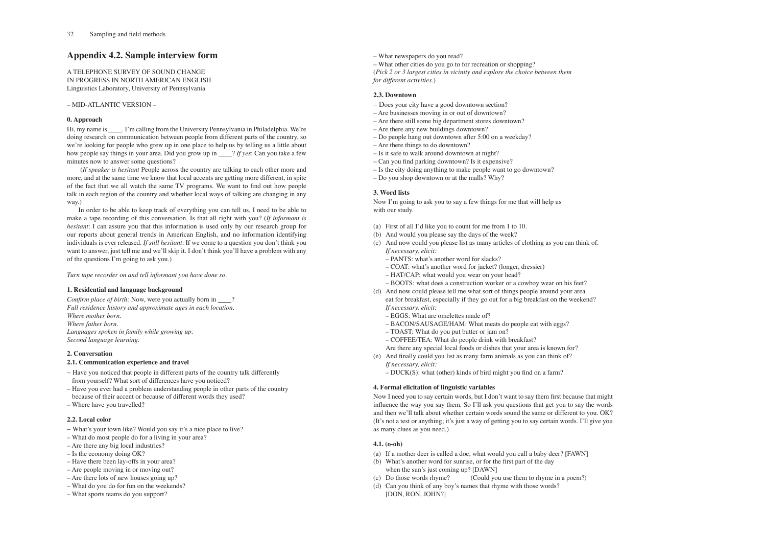# **Appendix 4.2. Sample interview form**

A TELEPHONE SURVEY OF SOUND CHANGE IN PROGRESS IN NORTH AMERICAN ENGLISH Linguistics Laboratory, University of Pennsylvania

– MID-ATLANTIC VERSION –

# **0. Approach**

Hi, my name is \_\_\_\_\_. I'm calling from the University Pennsylvania in Philadelphia. We're doing research on communication between people from different parts of the country, so we're looking for people who grew up in one place to help us by telling us a little about how people say things in your area. Did you grow up in ? *If yes*: Can you take a few minutes now to answer some questions?

 (*If speaker is hesitant* People across the country are talking to each other more and more, and at the same time we know that local accents are getting more different, in spite of the fact that we all watch the same TV programs. We want to find out how people talk in each region of the country and whether local ways of talking are changing in any way.)

*Confirm place of birth:* Now, were you actually born in \_\_\_\_? *Full residence history and approximate ages in each location. Where mother born. Where father born. Languages spoken in family while growing up. Second language learning.*

In order to be able to keep track of everything you can tell us, I need to be able to make a tape recording of this conversation. Is that all right with you? (*If informant is hesitant*: I can assure you that this information is used only by our research group for our reports about general trends in American English, and no information identifying individuals is ever released. *If still hesitant*: If we come to a question you don't think you want to answer, just tell me and we'll skip it. I don't think you'll have a problem with any of the questions I'm going to ask you.)

*Turn tape recorder on and tell informant you have done so.*

# **1. Residential and language background**

# **2. Conversation**

# **2.1. Communication experience and travel**

- Have you noticed that people in different parts of the country talk differently from yourself? What sort of differences have you noticed?
- Have you ever had a problem understanding people in other parts of the country because of their accent or because of different words they used?
- Where have you travelled?

# **2.2. Local color**

- What's your town like? Would you say it's a nice place to live?
- What do most people do for a living in your area?
- Are there any big local industries?
- Is the economy doing OK?
- Have there been lay-offs in your area?
- Are people moving in or moving out?
- Are there lots of new houses going up?
- What do you do for fun on the weekends?
- What sports teams do you support?

– What newspapers do you read?

– What other cities do you go to for recreation or shopping? (*Pick 2 or 3 largest cities in vicinity and explore the choice between them for different activities.*)

# **2.3. Downtown**

- Does your city have a good downtown section?
- Are businesses moving in or out of downtown?
- Are there still some big department stores downtown?
- Are there any new buildings downtown?
- Do people hang out downtown after 5:00 on a weekday?
- Are there things to do downtown?
- Is it safe to walk around downtown at night?
- Can you find parking downtown? Is it expensive?
- Is the city doing anything to make people want to go downtown?
- Do you shop downtown or at the malls? Why?

# **3. Word lists**

Now I'm going to ask you to say a few things for me that will help us with our study.

- (a) First of all I'd like you to count for me from 1 to 10.
- (b) And would you please say the days of the week?
- (c) And now could you please list as many articles of clothing as you can think of.  *If necessary, elicit:*
	- PANTS: what's another word for slacks?
	- COAT: what's another word for jacket? (longer, dressier)
	- HAT/CAP: what would you wear on your head?
	- BOOTS: what does a construction worker or a cowboy wear on his feet?
- (d) And now could please tell me what sort of things people around your area eat for breakfast, especially if they go out for a big breakfast on the weekend?  *If necessary, elicit:*
	- EGGS: What are omelettes made of?
	- BACON/SAUSAGE/HAM: What meats do people eat with eggs?
	- TOAST: What do you put butter or jam on?
	- COFFEE/TEA: What do people drink with breakfast?
- Are there any special local foods or dishes that your area is known for? (e) And finally could you list as many farm animals as you can think of?
- *If necessary, elicit:* – DUCK(S): what (other) kinds of bird might you find on a farm?

# **4. Formal elicitation of linguistic variables**

Now I need you to say certain words, but I don't want to say them first because that might influence the way you say them. So I'll ask you questions that get you to say the words and then we'll talk about whether certain words sound the same or different to you. OK? (It's not a test or anything; it's just a way of getting you to say certain words. I'll give you as many clues as you need.)

# **4.1. (o-oh)**

- (a) If a mother deer is called a doe, what would you call a baby deer? [FAWN]
- (b) What's another word for sunrise, or for the first part of the day when the sun's just coming up? [DAWN]<br>(c) Do those words rhyme? (Could you
- (Could you use them to rhyme in a poem?)
- (d) Can you think of any boy's names that rhyme with those words? [DON, RON, JOHN?]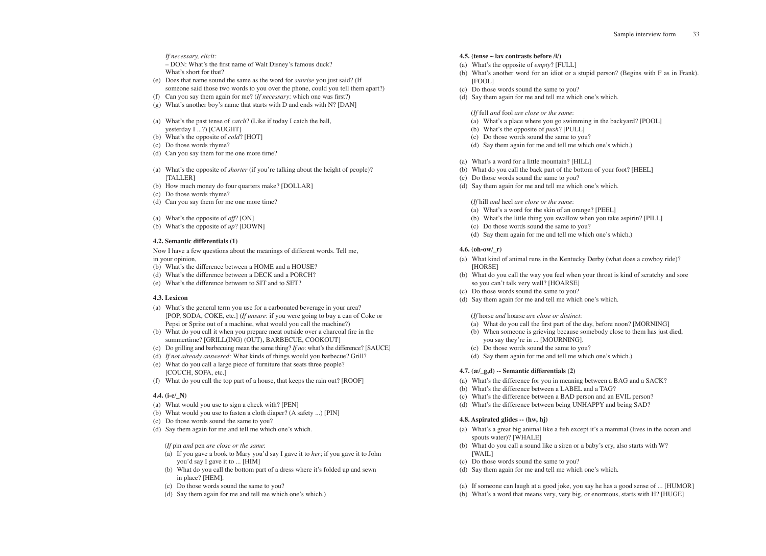## *If necessary, elicit:*

 – DON: What's the first name of Walt Disney's famous duck? What's short for that?

- (e) Does that name sound the same as the word for *sunrise* you just said? (If someone said those two words to you over the phone, could you tell them apart?)
- (f) Can you say them again for me? (*If necessary*: which one was first?)
- (g) What's another boy's name that starts with D and ends with N? [DAN]
- (a) What's the past tense of *catch*? (Like if today I catch the ball, yesterday I ...?) [CAUGHT]
- (b) What's the opposite of *cold*? [HOT]
- (c) Do those words rhyme?
- (d) Can you say them for me one more time?
- (a) What's the opposite of *shorter* (if you're talking about the height of people)? [TALLER]
- (b) How much money do four quarters make? [DOLLAR]
- (c) Do those words rhyme?
- (d) Can you say them for me one more time?
- (a) What's the opposite of *off*? [ON]
- (b) What's the opposite of *up*? [DOWN]

## **4.2. Semantic differentials (1)**

Now I have a few questions about the meanings of different words. Tell me, in your opinion,

- (b) What's the difference between a HOME and a HOUSE?
- (d) What's the difference between a DECK and a PORCH?
- (e) What's the difference between to SIT and to SET?

## **4.3. Lexicon**

- (a) What's the general term you use for a carbonated beverage in your area? [POP, SODA, COKE, etc.] (*If unsure*: if you were going to buy a can of Coke or Pepsi or Sprite out of a machine, what would you call the machine?)
- (b) What do you call it when you prepare meat outside over a charcoal fire in the summertime? [GRILL(ING) (OUT), BARBECUE, COOKOUT]
- (c) Do grilling and barbecuing mean the same thing? *If no*: what's the difference? [SAUCE]
- (d) *If not already answered:* What kinds of things would you barbecue? Grill? (e) What do you call a large piece of furniture that seats three people?
- [COUCH, SOFA, etc.] (f) What do you call the top part of a house, that keeps the rain out? [ROOF]

### **4.4. (i-e/\_N)**

- (a) What would you use to sign a check with? [PEN]
- (b) What would you use to fasten a cloth diaper? (A safety ...) [PIN]
- (c) Do those words sound the same to you?
- (d) Say them again for me and tell me which one's which.

(*If* pin *and* pen *are close or the same*:

- (a) If you gave a book to Mary you'd say I gave it to *her*; if you gave it to John you'd say I gave it to ... [HIM]
- (b) What do you call the bottom part of a dress where it's folded up and sewn in place? [HEM].
- (c) Do those words sound the same to you?
- (d) Say them again for me and tell me which one's which.)

### **4.5. (tense ~ lax contrasts before /l/)**

- (a) What's the opposite of *empty*? [FULL]
- (b) What's another word for an idiot or a stupid person? (Begins with F as in Frank). [FOOL]
- (c) Do those words sound the same to you?
- (d) Say them again for me and tell me which one's which.

(*If* full *and* fool *are close or the same*:

- (a) What's a place where you go swimming in the backyard? [POOL]
- (b) What's the opposite of *push*? [PULL]
- (c) Do those words sound the same to you?
- (d) Say them again for me and tell me which one's which.)
- (a) What's a word for a little mountain? [HILL]
- (b) What do you call the back part of the bottom of your foot? [HEEL]
- (c) Do those words sound the same to you?
- (d) Say them again for me and tell me which one's which.

(*If* hill *and* heel *are close or the same*:

- (a) What's a word for the skin of an orange? [PEEL]
- (b) What's the little thing you swallow when you take aspirin? [PILL]
- (c) Do those words sound the same to you?
- (d) Say them again for me and tell me which one's which.)

### **4.6. (oh-ow/\_r)**

- (a) What kind of animal runs in the Kentucky Derby (what does a cowboy ride)? [HORSE]
- (b) What do you call the way you feel when your throat is kind of scratchy and sore so you can't talk very well? [HOARSE]
- (c) Do those words sound the same to you?
- (d) Say them again for me and tell me which one's which.

(*If* horse *and* hoarse *are close or distinct*:

- (a) What do you call the first part of the day, before noon? [MORNING]
- (b) When someone is grieving because somebody close to them has just died,
- you say they're in ... [MOURNING]. (c) Do those words sound the same to you?
- (d) Say them again for me and tell me which one's which.)
- 

## **4.7. (æ/\_g,d) -- Semantic differentials (2)**

- (a) What's the difference for you in meaning between a BAG and a SACK?
- (b) What's the difference between a LABEL and a TAG?
- (c) What's the difference between a BAD person and an EVIL person?
- (d) What's the difference between being UNHAPPY and being SAD?

## **4.8. Aspirated glides -- (hw, hj)**

- (a) What's a great big animal like a fish except it's a mammal (lives in the ocean and spouts water)? [WHALE]
- (b) What do you call a sound like a siren or a baby's cry, also starts with W? [WAIL]
- (c) Do those words sound the same to you?
- (d) Say them again for me and tell me which one's which.
- (a) If someone can laugh at a good joke, you say he has a good sense of ... [HUMOR]
- (b) What's a word that means very, very big, or enormous, starts with H? [HUGE]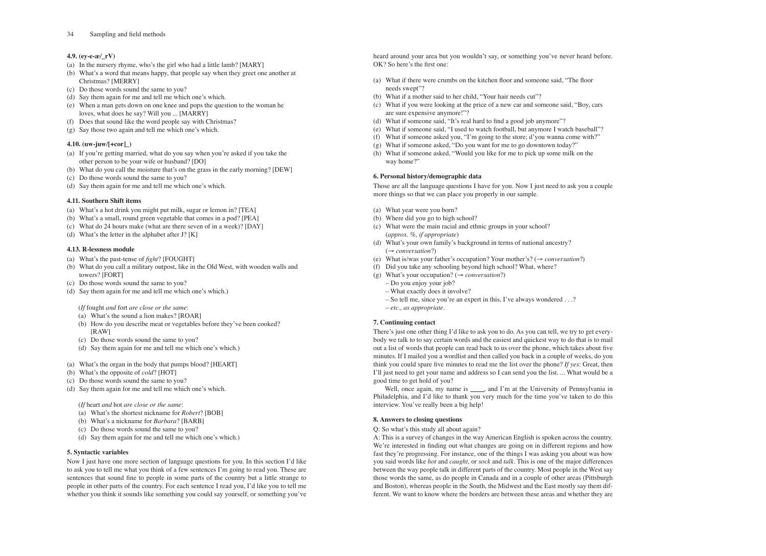# **4.9. (ey-e-æ/\_rV)**

- (a) In the nursery rhyme, who's the girl who had a little lamb? [MARY]
- (b) What's a word that means happy, that people say when they greet one another at Christmas? [MERRY]
- (c) Do those words sound the same to you?
- (d) Say them again for me and tell me which one's which.
- (e) When a man gets down on one knee and pops the question to the woman he loves, what does he say? Will you ... [MARRY]
- (f) Does that sound like the word people say with Christmas?
- (g) Say those two again and tell me which one's which.

# **4.10. (uw-juw/[+cor]\_)**

- (a) If you're getting married, what do you say when you're asked if you take the other person to be your wife or husband? [DO]
- (b) What do you call the moisture that's on the grass in the early morning? [DEW]
- (c) Do those words sound the same to you?
- (d) Say them again for me and tell me which one's which.

# **4.11. Southern Shift items**

- (a) What's a hot drink you might put milk, sugar or lemon in? [TEA]
- (b) What's a small, round green vegetable that comes in a pod? [PEA]
- (c) What do 24 hours make (what are there seven of in a week)? [DAY]
- (d) What's the letter in the alphabet after J? [K]

# **4.13. R-lessness module**

- (a) What's the past-tense of *fight*? [FOUGHT]
- (b) What do you call a military outpost, like in the Old West, with wooden walls and towers? [FORT]
- (c) Do those words sound the same to you?
- (d) Say them again for me and tell me which one's which.)

(*If* fought *and* fort *are close or the same*:

- (a) What's the sound a lion makes? [ROAR]
- (b) How do you describe meat or vegetables before they've been cooked? [RAW]
- (c) Do those words sound the same to you?
- (d) Say them again for me and tell me which one's which.)
- (a) What's the organ in the body that pumps blood? [HEART]
- (b) What's the opposite of *cold*? [HOT]
- (c) Do those words sound the same to you?
- (d) Say them again for me and tell me which one's which.

(*If* heart *and* hot *are close or the same*:

- (a) What's the shortest nickname for *Robert*? [BOB]
- (b) What's a nickname for *Barbara*? [BARB]
- (c) Do those words sound the same to you?
- (d) Say them again for me and tell me which one's which.)

# **5. Syntactic variables**

Now I just have one more section of language questions for you. In this section I'd like to ask you to tell me what you think of a few sentences I'm going to read you. These are sentences that sound fine to people in some parts of the country but a little strange to people in other parts of the country. For each sentence I read you, I'd like you to tell me whether you think it sounds like something you could say yourself, or something you've

Well, once again, my name is \_\_\_\_, and I'm at the University of Pennsylvania in Philadelphia, and I'd like to thank you very much for the time you've taken to do this interview. You've really been a big help!

heard around your area but you wouldn't say, or something you've never heard before. OK? So here's the first one:

- (a) What if there were crumbs on the kitchen floor and someone said, "The floor needs swept"?
- (b) What if a mother said to her child, "Your hair needs cut"?
- (c) What if you were looking at the price of a new car and someone said, "Boy, cars are sure expensive anymore!"?
- (d) What if someone said, "It's real hard to find a good job anymore"?
- (e) What if someone said, "I used to watch football, but anymore I watch baseball"?
- (f) What if someone asked you, "I'm going to the store; d'you wanna come with?"
- (g) What if someone asked, "Do you want for me to go downtown today?"
- (h) What if someone asked, "Would you like for me to pick up some milk on the way home?"

# **6. Personal history/demographic data**

Those are all the language questions I have for you. Now I just need to ask you a couple more things so that we can place you properly in our sample.

- (a) What year were you born?
- (b) Where did you go to high school?
- (c) What were the main racial and ethnic groups in your school? (*approx. %, if appropriate*)
- (d) What's your own family's background in terms of national ancestry? (→ *conversation*?)
- (e) What is/was your father's occupation? Your mother's? (→ *conversation*?)
- (f) Did you take any schooling beyond high school? What, where?
- (g) What's your occupation? (→ *conversation*?)
	- Do you enjoy your job?
	- What exactly does it involve?
	- So tell me, since you're an expert in this, I've always wondered . . .?
	- *etc., as appropriate*.

# **7. Continuing contact**

There's just one other thing I'd like to ask you to do. As you can tell, we try to get everybody we talk to to say certain words and the easiest and quickest way to do that is to mail out a list of words that people can read back to us over the phone, which takes about five minutes. If I mailed you a wordlist and then called you back in a couple of weeks, do you think you could spare five minutes to read me the list over the phone? *If yes*: Great, then I'll just need to get your name and address so I can send you the list. ... What would be a good time to get hold of you?

# **8. Answers to closing questions**

# Q: So what's this study all about again?

A: This is a survey of changes in the way American English is spoken across the country. We're interested in finding out what changes are going on in different regions and how fast they're progressing. For instance, one of the things I was asking you about was how you said words like *hot* and *caught*, or *sock* and *talk*. This is one of the major differences between the way people talk in different parts of the country. Most people in the West say those words the same, as do people in Canada and in a couple of other areas (Pittsburgh and Boston), whereas people in the South, the Midwest and the East mostly say them different. We want to know where the borders are between these areas and whether they are